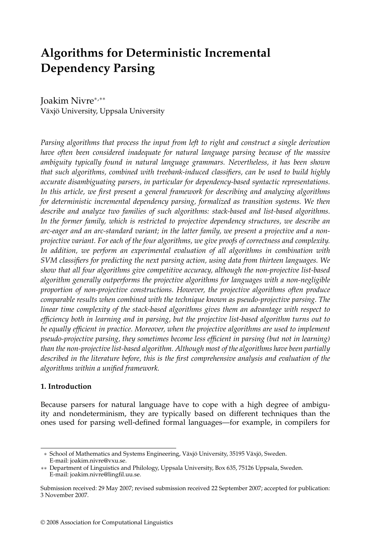# **Algorithms for Deterministic Incremental Dependency Parsing**

Joakim Nivre<sup>∗</sup>,∗∗ Växjö University, Uppsala University

*Parsing algorithms that process the input from left to right and construct a single derivation have often been considered inadequate for natural language parsing because of the massive ambiguity typically found in natural language grammars. Nevertheless, it has been shown that such algorithms, combined with treebank-induced classifiers, can be used to build highly accurate disambiguating parsers, in particular for dependency-based syntactic representations. In this article, we first present a general framework for describing and analyzing algorithms for deterministic incremental dependency parsing, formalized as transition systems. We then describe and analyze two families of such algorithms: stack-based and list-based algorithms. In the former family, which is restricted to projective dependency structures, we describe an arc-eager and an arc-standard variant; in the latter family, we present a projective and a nonprojective variant. For each of the four algorithms, we give proofs of correctness and complexity. In addition, we perform an experimental evaluation of all algorithms in combination with SVM classifiers for predicting the next parsing action, using data from thirteen languages. We show that all four algorithms give competitive accuracy, although the non-projective list-based algorithm generally outperforms the projective algorithms for languages with a non-negligible proportion of non-projective constructions. However, the projective algorithms often produce comparable results when combined with the technique known as pseudo-projective parsing. The linear time complexity of the stack-based algorithms gives them an advantage with respect to efficiency both in learning and in parsing, but the projective list-based algorithm turns out to be equally efficient in practice. Moreover, when the projective algorithms are used to implement pseudo-projective parsing, they sometimes become less efficient in parsing (but not in learning) than the non-projective list-based algorithm. Although most of the algorithms have been partially described in the literature before, this is the first comprehensive analysis and evaluation of the algorithms within a unified framework.*

### **1. Introduction**

Because parsers for natural language have to cope with a high degree of ambiguity and nondeterminism, they are typically based on different techniques than the ones used for parsing well-defined formal languages—for example, in compilers for

<sup>∗</sup> School of Mathematics and Systems Engineering, Växjö University, 35195 Växjö, Sweden. E-mail: joakim.nivre@vxu.se.

<sup>∗∗</sup> Department of Linguistics and Philology, Uppsala University, Box 635, 75126 Uppsala, Sweden. E-mail: joakim.nivre@lingfil.uu.se.

Submission received: 29 May 2007; revised submission received 22 September 2007; accepted for publication: 3 November 2007.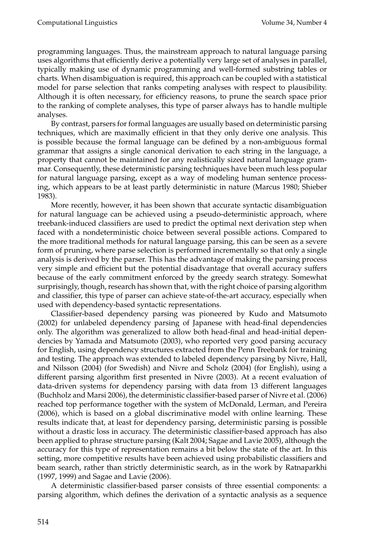programming languages. Thus, the mainstream approach to natural language parsing uses algorithms that efficiently derive a potentially very large set of analyses in parallel, typically making use of dynamic programming and well-formed substring tables or charts. When disambiguation is required, this approach can be coupled with a statistical model for parse selection that ranks competing analyses with respect to plausibility. Although it is often necessary, for efficiency reasons, to prune the search space prior to the ranking of complete analyses, this type of parser always has to handle multiple analyses.

By contrast, parsers for formal languages are usually based on deterministic parsing techniques, which are maximally efficient in that they only derive one analysis. This is possible because the formal language can be defined by a non-ambiguous formal grammar that assigns a single canonical derivation to each string in the language, a property that cannot be maintained for any realistically sized natural language grammar. Consequently, these deterministic parsing techniques have been much less popular for natural language parsing, except as a way of modeling human sentence processing, which appears to be at least partly deterministic in nature (Marcus 1980; Shieber 1983).

More recently, however, it has been shown that accurate syntactic disambiguation for natural language can be achieved using a pseudo-deterministic approach, where treebank-induced classifiers are used to predict the optimal next derivation step when faced with a nondeterministic choice between several possible actions. Compared to the more traditional methods for natural language parsing, this can be seen as a severe form of pruning, where parse selection is performed incrementally so that only a single analysis is derived by the parser. This has the advantage of making the parsing process very simple and efficient but the potential disadvantage that overall accuracy suffers because of the early commitment enforced by the greedy search strategy. Somewhat surprisingly, though, research has shown that, with the right choice of parsing algorithm and classifier, this type of parser can achieve state-of-the-art accuracy, especially when used with dependency-based syntactic representations.

Classifier-based dependency parsing was pioneered by Kudo and Matsumoto (2002) for unlabeled dependency parsing of Japanese with head-final dependencies only. The algorithm was generalized to allow both head-final and head-initial dependencies by Yamada and Matsumoto (2003), who reported very good parsing accuracy for English, using dependency structures extracted from the Penn Treebank for training and testing. The approach was extended to labeled dependency parsing by Nivre, Hall, and Nilsson (2004) (for Swedish) and Nivre and Scholz (2004) (for English), using a different parsing algorithm first presented in Nivre (2003). At a recent evaluation of data-driven systems for dependency parsing with data from 13 different languages (Buchholz and Marsi 2006), the deterministic classifier-based parser of Nivre et al. (2006) reached top performance together with the system of McDonald, Lerman, and Pereira (2006), which is based on a global discriminative model with online learning. These results indicate that, at least for dependency parsing, deterministic parsing is possible without a drastic loss in accuracy. The deterministic classifier-based approach has also been applied to phrase structure parsing (Kalt 2004; Sagae and Lavie 2005), although the accuracy for this type of representation remains a bit below the state of the art. In this setting, more competitive results have been achieved using probabilistic classifiers and beam search, rather than strictly deterministic search, as in the work by Ratnaparkhi (1997, 1999) and Sagae and Lavie (2006).

A deterministic classifier-based parser consists of three essential components: a parsing algorithm, which defines the derivation of a syntactic analysis as a sequence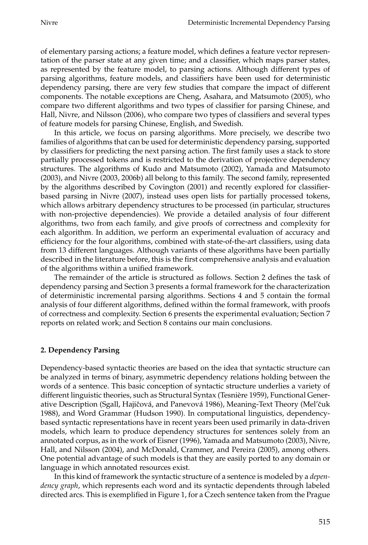of elementary parsing actions; a feature model, which defines a feature vector representation of the parser state at any given time; and a classifier, which maps parser states, as represented by the feature model, to parsing actions. Although different types of parsing algorithms, feature models, and classifiers have been used for deterministic dependency parsing, there are very few studies that compare the impact of different components. The notable exceptions are Cheng, Asahara, and Matsumoto (2005), who compare two different algorithms and two types of classifier for parsing Chinese, and Hall, Nivre, and Nilsson (2006), who compare two types of classifiers and several types of feature models for parsing Chinese, English, and Swedish.

In this article, we focus on parsing algorithms. More precisely, we describe two families of algorithms that can be used for deterministic dependency parsing, supported by classifiers for predicting the next parsing action. The first family uses a stack to store partially processed tokens and is restricted to the derivation of projective dependency structures. The algorithms of Kudo and Matsumoto (2002), Yamada and Matsumoto (2003), and Nivre (2003, 2006b) all belong to this family. The second family, represented by the algorithms described by Covington (2001) and recently explored for classifierbased parsing in Nivre (2007), instead uses open lists for partially processed tokens, which allows arbitrary dependency structures to be processed (in particular, structures with non-projective dependencies). We provide a detailed analysis of four different algorithms, two from each family, and give proofs of correctness and complexity for each algorithm. In addition, we perform an experimental evaluation of accuracy and efficiency for the four algorithms, combined with state-of-the-art classifiers, using data from 13 different languages. Although variants of these algorithms have been partially described in the literature before, this is the first comprehensive analysis and evaluation of the algorithms within a unified framework.

The remainder of the article is structured as follows. Section 2 defines the task of dependency parsing and Section 3 presents a formal framework for the characterization of deterministic incremental parsing algorithms. Sections 4 and 5 contain the formal analysis of four different algorithms, defined within the formal framework, with proofs of correctness and complexity. Section 6 presents the experimental evaluation; Section 7 reports on related work; and Section 8 contains our main conclusions.

### **2. Dependency Parsing**

Dependency-based syntactic theories are based on the idea that syntactic structure can be analyzed in terms of binary, asymmetric dependency relations holding between the words of a sentence. This basic conception of syntactic structure underlies a variety of different linguistic theories, such as Structural Syntax (Tesniere 1959), Functional Gener- ` ative Description (Sgall, Hajičová, and Panevová 1986), Meaning-Text Theory (Mel'čuk 1988), and Word Grammar (Hudson 1990). In computational linguistics, dependencybased syntactic representations have in recent years been used primarily in data-driven models, which learn to produce dependency structures for sentences solely from an annotated corpus, as in the work of Eisner (1996), Yamada and Matsumoto (2003), Nivre, Hall, and Nilsson (2004), and McDonald, Crammer, and Pereira (2005), among others. One potential advantage of such models is that they are easily ported to any domain or language in which annotated resources exist.

In this kind of framework the syntactic structure of a sentence is modeled by a *dependency graph*, which represents each word and its syntactic dependents through labeled directed arcs. This is exemplified in Figure 1, for a Czech sentence taken from the Prague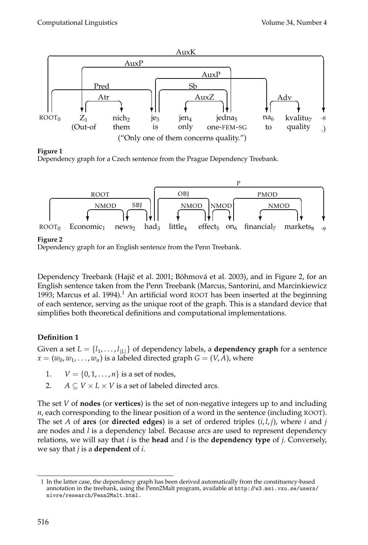

### **Figure 1**

Dependency graph for a Czech sentence from the Prague Dependency Treebank.



### **Figure 2**

Dependency graph for an English sentence from the Penn Treebank.

Dependency Treebank (Hajič et al. 2001; Böhmová et al. 2003), and in Figure 2, for an English sentence taken from the Penn Treebank (Marcus, Santorini, and Marcinkiewicz 1993; Marcus et al. 1994).<sup>1</sup> An artificial word ROOT has been inserted at the beginning of each sentence, serving as the unique root of the graph. This is a standard device that simplifies both theoretical definitions and computational implementations.

## **Definition 1**

Given a set  $L = \{l_1, \ldots, l_{|L|}\}$  of dependency labels, a **dependency graph** for a sentence  $x = (w_0, w_1, \ldots, w_n)$  is a labeled directed graph  $G = (V, A)$ , where

- 1.  $V = \{0, 1, ..., n\}$  is a set of nodes,
- 2. *A*  $\subseteq$  *V*  $\times$  *L*  $\times$  *V* is a set of labeled directed arcs.

The set *V* of **nodes** (or **vertices**) is the set of non-negative integers up to and including *n*, each corresponding to the linear position of a word in the sentence (including ROOT). The set *A* of **arcs** (or **directed edges**) is a set of ordered triples  $(i, l, j)$ , where *i* and *j* are nodes and *l* is a dependency label. Because arcs are used to represent dependency relations, we will say that *i* is the **head** and *l* is the **dependency type** of *j*. Conversely, we say that *j* is a **dependent** of *i*.

<sup>1</sup> In the latter case, the dependency graph has been derived automatically from the constituency-based annotation in the treebank, using the Penn2Malt program, available at http://w3.msi.vxu.se/users/ nivre/research/Penn2Malt.html.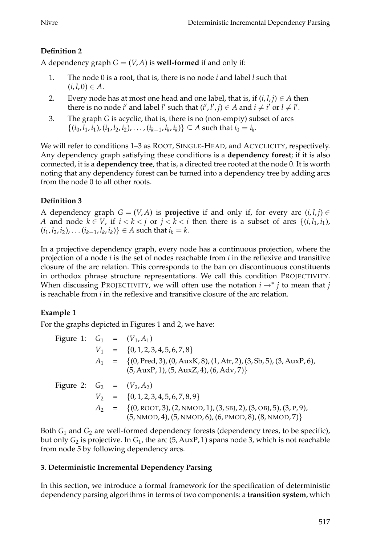## **Definition 2**

A dependency graph  $G = (V, A)$  is **well-formed** if and only if:

- 1. The node 0 is a root, that is, there is no node *i* and label *l* such that  $(i, l, 0) \in A$ .
- 2. Every node has at most one head and one label, that is, if  $(i, l, j) \in A$  then there is no node *i*' and label *l'* such that  $(i', l', j) \in A$  and  $i \neq i'$  or  $l \neq l'$ .
- 3. The graph *G* is acyclic, that is, there is no (non-empty) subset of arcs  ${(i_0, l_1, i_1), (i_1, l_2, i_2), \ldots, (i_{k-1}, l_k, i_k)}$  ⊆ *A* such that  $i_0 = i_k$ .

We will refer to conditions 1–3 as ROOT, SINGLE-HEAD, and ACYCLICITY, respectively. Any dependency graph satisfying these conditions is a **dependency forest**; if it is also connected, it is a **dependency tree**, that is, a directed tree rooted at the node 0. It is worth noting that any dependency forest can be turned into a dependency tree by adding arcs from the node 0 to all other roots.

## **Definition 3**

A dependency graph  $G = (V, A)$  is **projective** if and only if, for every arc  $(i, l, j) \in$ *A* and node  $k \in V$ , if  $i < k < j$  or  $j < k < i$  then there is a subset of arcs  $\{(i, l_1, l_1),$  $(i_1, l_2, i_2), \ldots (i_{k-1}, l_k, i_k) \} \in A$  such that  $i_k = k$ .

In a projective dependency graph, every node has a continuous projection, where the projection of a node *i* is the set of nodes reachable from *i* in the reflexive and transitive closure of the arc relation. This corresponds to the ban on discontinuous constituents in orthodox phrase structure representations. We call this condition PROJECTIVITY. When discussing PROJECTIVITY, we will often use the notation  $i \rightarrow * j$  to mean that *j* is reachable from *i* in the reflexive and transitive closure of the arc relation.

## **Example 1**

For the graphs depicted in Figures 1 and 2, we have:

Figure 1:  $G_1 = (V_1, A_1)$  $V_1 = \{0, 1, 2, 3, 4, 5, 6, 7, 8\}$  $A_1 = \{(0, Pred, 3), (0, AuxK, 8), (1, Art, 2), (3, Sb, 5), (3, AuxP, 6),\}$  $(5, AuxP, 1), (5, AuxZ, 4), (6, Adv, 7)$ Figure 2:  $G_2 = (V_2, A_2)$  $V_2 = \{0, 1, 2, 3, 4, 5, 6, 7, 8, 9\}$  $A_2 = \{(0, \text{ROOT}, 3), (2, \text{NMOD}, 1), (3, \text{SB}, 2), (3, \text{OB}, 5), (3, \text{P}, 9),\}$ (5, NMOD, 4), (5, NMOD, 6), (6, PMOD, 8), (8, NMOD, 7)}

Both *G*<sub>1</sub> and *G*<sub>2</sub> are well-formed dependency forests (dependency trees, to be specific), but only *G*<sup>2</sup> is projective. In *G*1, the arc (5, AuxP, 1) spans node 3, which is not reachable from node 5 by following dependency arcs.

## **3. Deterministic Incremental Dependency Parsing**

In this section, we introduce a formal framework for the specification of deterministic dependency parsing algorithms in terms of two components: a **transition system**, which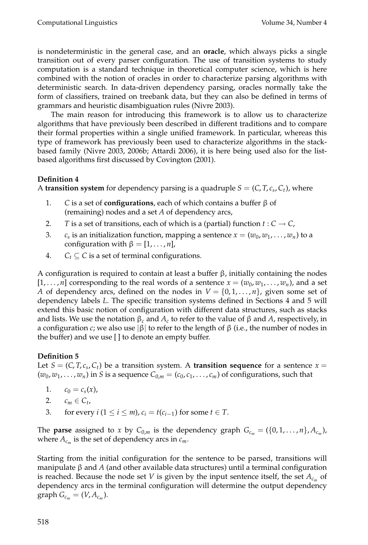is nondeterministic in the general case, and an **oracle**, which always picks a single transition out of every parser configuration. The use of transition systems to study computation is a standard technique in theoretical computer science, which is here combined with the notion of oracles in order to characterize parsing algorithms with deterministic search. In data-driven dependency parsing, oracles normally take the form of classifiers, trained on treebank data, but they can also be defined in terms of grammars and heuristic disambiguation rules (Nivre 2003).

The main reason for introducing this framework is to allow us to characterize algorithms that have previously been described in different traditions and to compare their formal properties within a single unified framework. In particular, whereas this type of framework has previously been used to characterize algorithms in the stackbased family (Nivre 2003, 2006b; Attardi 2006), it is here being used also for the listbased algorithms first discussed by Covington (2001).

## **Definition 4**

A **transition system** for dependency parsing is a quadruple  $S = (C, T, c_s, C_t)$ , where

- 1. *C* is a set of **configurations**, each of which contains a buffer β of (remaining) nodes and a set *A* of dependency arcs,
- 2. *T* is a set of transitions, each of which is a (partial) function  $t : C \to C$ ,
- 3. *c<sub>s</sub>* is an initialization function, mapping a sentence  $x = (w_0, w_1, \ldots, w_n)$  to a configuration with  $\beta = [1, \ldots, n]$ ,
- 4.  $C_t \subseteq C$  is a set of terminal configurations.

A configuration is required to contain at least a buffer  $\beta$ , initially containing the nodes  $[1, \ldots, n]$  corresponding to the real words of a sentence  $x = (w_0, w_1, \ldots, w_n)$ , and a set *A* of dependency arcs, defined on the nodes in  $V = \{0, 1, \ldots, n\}$ , given some set of dependency labels *L*. The specific transition systems defined in Sections 4 and 5 will extend this basic notion of configuration with different data structures, such as stacks and lists. We use the notation  $\beta_c$  and  $A_c$  to refer to the value of  $\beta$  and  $A$ , respectively, in a configuration *c*; we also use  $\left|\beta\right|$  to refer to the length of  $\beta$  (i.e., the number of nodes in the buffer) and we use [ ] to denote an empty buffer.

## **Definition 5**

Let *S* = (*C*, *T*, *c<sub>s</sub>*, *C*<sub>t</sub>) be a transition system. A **transition sequence** for a sentence *x* =  $(w_0, w_1, \ldots, w_n)$  in *S* is a sequence  $C_{0,m} = (c_0, c_1, \ldots, c_m)$  of configurations, such that

$$
1. \qquad c_0 = c_s(x),
$$

$$
2. \qquad c_m \in C_t,
$$

3. for every  $i$  ( $1 \le i \le m$ ),  $c_i = t(c_{i-1})$  for some  $t \in T$ .

The **parse** assigned to *x* by  $C_{0,m}$  is the dependency graph  $G_{c_m} = (\{0, 1, \ldots, n\}, A_{c_m})$ , where  $A_{c_m}$  is the set of dependency arcs in  $c_m$ .

Starting from the initial configuration for the sentence to be parsed, transitions will manipulate β and *A* (and other available data structures) until a terminal configuration is reached. Because the node set *V* is given by the input sentence itself, the set  $A_{c_m}$  of dependency arcs in the terminal configuration will determine the output dependency graph  $G_{c_m} = (V, A_{c_m})$ .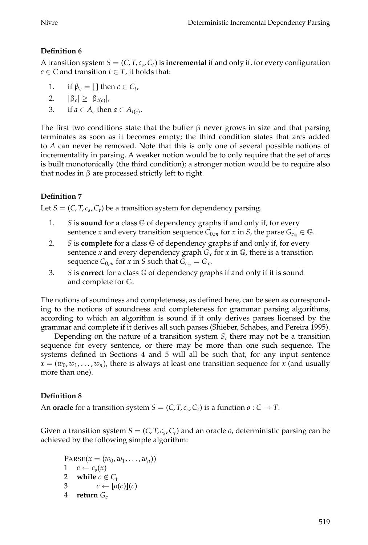## **Definition 6**

A transition system  $S = (C, T, c<sub>s</sub>, C<sub>t</sub>)$  is **incremental** if and only if, for every configuration  $c \in C$  and transition  $t \in T$ , it holds that:

- 1. if  $\beta_c = [\ ]$  then  $c \in C_t$ ,
- 2.  $|\beta_c| \geq |\beta_{t(c)}|$ ,
- 3. if  $a \in A_c$  then  $a \in A_{t(c)}$ .

The first two conditions state that the buffer  $\beta$  never grows in size and that parsing terminates as soon as it becomes empty; the third condition states that arcs added to *A* can never be removed. Note that this is only one of several possible notions of incrementality in parsing. A weaker notion would be to only require that the set of arcs is built monotonically (the third condition); a stronger notion would be to require also that nodes in β are processed strictly left to right.

## **Definition 7**

Let  $S = (C, T, c_s, C_t)$  be a transition system for dependency parsing.

- 1. *S* is **sound** for a class G of dependency graphs if and only if, for every sentence *x* and every transition sequence  $C_{0,m}$  for *x* in *S*, the parse  $G_{c_m} \in \mathbb{G}$ .
- 2. *S* is **complete** for a class G of dependency graphs if and only if, for every sentence *x* and every dependency graph  $G_x$  for *x* in  $\mathbb{G}$ , there is a transition sequence  $C_{0,m}$  for *x* in *S* such that  $G_{c_m} = G_x$ .
- 3. *S* is **correct** for a class G of dependency graphs if and only if it is sound and complete for G.

The notions of soundness and completeness, as defined here, can be seen as corresponding to the notions of soundness and completeness for grammar parsing algorithms, according to which an algorithm is sound if it only derives parses licensed by the grammar and complete if it derives all such parses (Shieber, Schabes, and Pereira 1995).

Depending on the nature of a transition system *S*, there may not be a transition sequence for every sentence, or there may be more than one such sequence. The systems defined in Sections 4 and 5 will all be such that, for any input sentence  $x = (w_0, w_1, \dots, w_n)$ , there is always at least one transition sequence for *x* (and usually more than one).

## **Definition 8**

An **oracle** for a transition system  $S = (C, T, c_s, C_t)$  is a function  $o : C \to T$ .

Given a transition system  $S = (C, T, c<sub>s</sub>, C<sub>t</sub>)$  and an oracle *o*, deterministic parsing can be achieved by the following simple algorithm:

 $PARSE(x = (w_0, w_1, \ldots, w_n))$ 1  $c \leftarrow c_s(x)$ 2 while  $c \notin C_t$ 3  $c \leftarrow [o(c)](c)$ 4 **return** *Gc*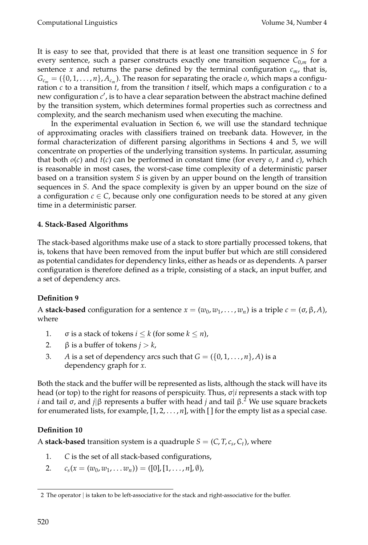It is easy to see that, provided that there is at least one transition sequence in *S* for every sentence, such a parser constructs exactly one transition sequence  $C_{0,m}$  for a sentence *x* and returns the parse defined by the terminal configuration  $c_m$ , that is,  $G_{c_m} = (\{0, 1, \ldots, n\}, A_{c_m})$ . The reason for separating the oracle *o*, which maps a configuration  $c$  to a transition  $t$ , from the transition  $t$  itself, which maps a configuration  $c$  to a new configuration  $c^\prime$ , is to have a clear separation between the abstract machine defined by the transition system, which determines formal properties such as correctness and complexity, and the search mechanism used when executing the machine.

In the experimental evaluation in Section 6, we will use the standard technique of approximating oracles with classifiers trained on treebank data. However, in the formal characterization of different parsing algorithms in Sections 4 and 5, we will concentrate on properties of the underlying transition systems. In particular, assuming that both  $o(c)$  and  $t(c)$  can be performed in constant time (for every  $o$ ,  $t$  and  $c$ ), which is reasonable in most cases, the worst-case time complexity of a deterministic parser based on a transition system *S* is given by an upper bound on the length of transition sequences in *S*. And the space complexity is given by an upper bound on the size of a configuration  $c \in \mathcal{C}$ , because only one configuration needs to be stored at any given time in a deterministic parser.

### **4. Stack-Based Algorithms**

The stack-based algorithms make use of a stack to store partially processed tokens, that is, tokens that have been removed from the input buffer but which are still considered as potential candidates for dependency links, either as heads or as dependents. A parser configuration is therefore defined as a triple, consisting of a stack, an input buffer, and a set of dependency arcs.

## **Definition 9**

A **stack-based** configuration for a sentence  $x = (w_0, w_1, \ldots, w_n)$  is a triple  $c = (\sigma, \beta, A)$ , where

- 1. σ is a stack of tokens *i* ≤ *k* (for some *k* ≤ *n*),
- 2. β is a buffer of tokens  $j > k$ ,
- 3. *A* is a set of dependency arcs such that  $G = (\{0, 1, ..., n\}, A)$  is a dependency graph for *x*.

Both the stack and the buffer will be represented as lists, although the stack will have its head (or top) to the right for reasons of perspicuity. Thus, σ|*i* represents a stack with top *i* and tail σ, and *j*|β represents a buffer with head *j* and tail β. <sup>2</sup> We use square brackets for enumerated lists, for example, [1, 2, ... , *n*], with [ ] for the empty list as a special case.

## **Definition 10**

A **stack-based** transition system is a quadruple  $S = (C, T, c<sub>s</sub>, C<sub>t</sub>)$ , where

- 1. *C* is the set of all stack-based configurations,
- 2.  $c_s(x = (w_0, w_1, \ldots, w_n)) = ([0], [1, \ldots, n], \emptyset),$

<sup>2</sup> The operator | is taken to be left-associative for the stack and right-associative for the buffer.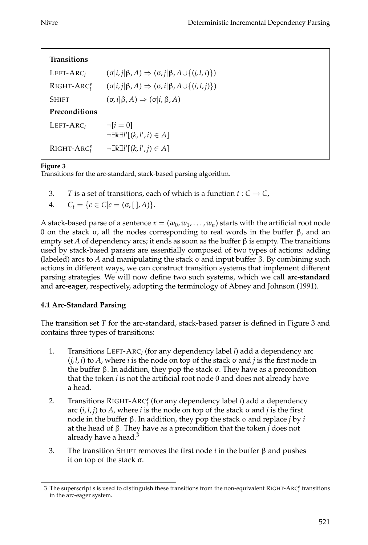| <b>Transitions</b>    |                                                                                                     |
|-----------------------|-----------------------------------------------------------------------------------------------------|
| $LEFT-ARC1$           | $(\sigma i, j \beta, A) \Rightarrow (\sigma, j \beta, A \cup \{(j, l, i)\})$                        |
|                       | RIGHT-ARC <sub>i</sub> $(\sigma i, j \beta, A) \Rightarrow (\sigma, i \beta, A \cup \{(i, l, j)\})$ |
| <b>SHIFT</b>          | $(\sigma, i   \beta, A) \Rightarrow (\sigma   i, \beta, A)$                                         |
| Preconditions         |                                                                                                     |
| LEFT-ARC <sub>l</sub> | $\neg[i=0]$<br>$\neg \exists k \exists l'[(k, l', i) \in A]$                                        |
| $R$ IGHT-ARC $_i^s$   | $\neg \exists k \exists l'[(k, l', j) \in A]$                                                       |

#### **Figure 3**

Transitions for the arc-standard, stack-based parsing algorithm.

3. *T* is a set of transitions, each of which is a function  $t : C \to C$ ,

4. 
$$
C_t = \{c \in C | c = (\sigma, [], A)\}.
$$

A stack-based parse of a sentence  $x = (w_0, w_1, \ldots, w_n)$  starts with the artificial root node 0 on the stack  $\sigma$ , all the nodes corresponding to real words in the buffer  $\beta$ , and an empty set *A* of dependency arcs; it ends as soon as the buffer  $\beta$  is empty. The transitions used by stack-based parsers are essentially composed of two types of actions: adding (labeled) arcs to *A* and manipulating the stack  $\sigma$  and input buffer  $\beta$ . By combining such actions in different ways, we can construct transition systems that implement different parsing strategies. We will now define two such systems, which we call **arc-standard** and **arc-eager**, respectively, adopting the terminology of Abney and Johnson (1991).

## **4.1 Arc-Standard Parsing**

The transition set *T* for the arc-standard, stack-based parser is defined in Figure 3 and contains three types of transitions:

- 1. Transitions LEFT-ARC*<sup>l</sup>* (for any dependency label *l*) add a dependency arc (*j*, *l*, *i*) to *A*, where *i* is the node on top of the stack σ and *j* is the first node in the buffer  $β$ . In addition, they pop the stack  $σ$ . They have as a precondition that the token *i* is not the artificial root node 0 and does not already have a head.
- 2. Transitions RIGHT-ARC*<sup>s</sup> <sup>l</sup>* (for any dependency label *l*) add a dependency arc (*i*, *l*, *j*) to *A*, where *i* is the node on top of the stack σ and *j* is the first node in the buffer β. In addition, they pop the stack σ and replace *j* by *i* at the head of β. They have as a precondition that the token *j* does not already have a head. $3$
- 3. The transition SHIFT removes the first node *i* in the buffer β and pushes it on top of the stack σ.

<sup>3</sup> The superscript *s* is used to distinguish these transitions from the non-equivalent RIGHT-ARC<sup>e</sup> transitions in the arc-eager system.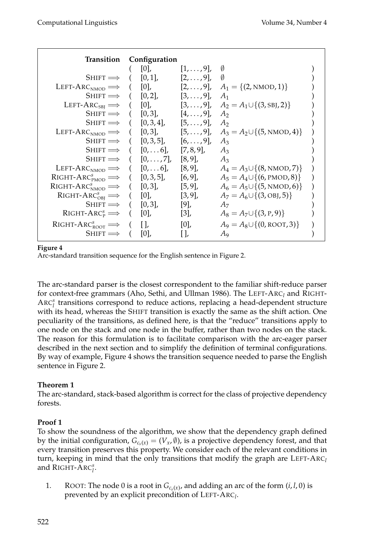| <b>Transition</b>                                 | Configuration      |                             |                                           |  |
|---------------------------------------------------|--------------------|-----------------------------|-------------------------------------------|--|
|                                                   | $[0]$ ,            | $[1, \ldots, 9]$ ,          | 0                                         |  |
| $SHIFT \Longrightarrow$                           | [0,1],             | $[2, \ldots, 9]$ ,          | Ø                                         |  |
| LEFT-ARC <sub>NMOD</sub> $\Longrightarrow$        | [0]                | $[2, \ldots, 9]$ ,          | $A_1 = \{(2, NMOD, 1)\}\$                 |  |
| SHIFT $\implies$ ( [0,2],                         |                    | $[3,\ldots,9]$ ,            | A <sub>1</sub>                            |  |
| $LEFT-ARC_{SBJ} \Longrightarrow$                  | $($ [0],           | $[3, \ldots, 9]$ ,          | $A_2 = A_1 \cup \{(3, SBJ, 2)\}\$         |  |
| $SHIFT \Longrightarrow$                           | ( [0,3],           | $[4, \ldots, 9]$ ,          | A <sub>2</sub>                            |  |
| SHIFT $\Longrightarrow$                           | $($ [0, 3, 4],     | $[5, \ldots, 9]$ ,          | A <sub>2</sub>                            |  |
| $LEFT-ARC$ <sub>NMOD</sub> $\Longrightarrow$      | $[0,3]$ ,          | $[5, \ldots, 9]$ ,          | $A_3 = A_2 \cup \{(5, NMOD, 4)\}\$        |  |
| $SHIFT \Longrightarrow$                           |                    | $[0,3,5], \t [6,\ldots,9],$ | $A_3$                                     |  |
| SHIFT $\Longrightarrow$                           | $[0,\ldots 6]$     | $[7, 8, 9]$ ,               | $A_3$                                     |  |
| $SHIFT \Longrightarrow$                           | $[0,\ldots,7],$    | $[8, 9]$ ,                  | $A_3$                                     |  |
| LEFT-ARC <sub>NMOD</sub> $\implies$               | $( [0, \ldots 6],$ | $[8, 9]$ ,                  | $A_4 = A_3 \cup \{(8, NMOD, 7)\}\$        |  |
| $RIGHT-ARCsPMOD \Longrightarrow$                  | $($ [0, 3, 5],     | $[6, 9]$ ,                  | $A_5 = A_4 \cup \{(6, \text{PMOD}, 8)\}\$ |  |
| $RIGHT-ARCNMODs$ $\Longrightarrow$                | $[0,3]$ ,          | $[5, 9]$ ,                  | $A_6 = A_5 \cup \{(5, NMOD, 6)\}\$        |  |
| $RIGHT-ARC^s_{OBI} \Longrightarrow$               | [0]                | $[3, 9]$ ,                  | $A_7 = A_6 \cup \{(3, \text{OBJ}, 5)\}\$  |  |
| $SHIFT \Longrightarrow$ (                         | $[0,3]$ ,          | $ 9 $ ,                     | A <sub>7</sub>                            |  |
| $R$ IGHT-ARC <sup>s</sup> <sub>p</sub> $\implies$ | [0],               | [3]                         | $A_8 = A_7 \cup \{(3, P, 9)\}\$           |  |
| $RIGHT-ARC^s_{ROOT} \Longrightarrow$              | H.                 | [0]                         | $A_9 = A_8 \cup \{(0, \text{ROOT}, 3)\}\$ |  |
| $SHIFT \Longrightarrow$                           | [0],               | H,                          | Aq                                        |  |

**Figure 4**

Arc-standard transition sequence for the English sentence in Figure 2.

The arc-standard parser is the closest correspondent to the familiar shift-reduce parser for context-free grammars (Aho, Sethi, and Ullman 1986). The LEFT-ARC*<sup>l</sup>* and RIGHT-ARC<sup>*s*</sup> transitions correspond to reduce actions, replacing a head-dependent structure with its head, whereas the SHIFT transition is exactly the same as the shift action. One peculiarity of the transitions, as defined here, is that the "reduce" transitions apply to one node on the stack and one node in the buffer, rather than two nodes on the stack. The reason for this formulation is to facilitate comparison with the arc-eager parser described in the next section and to simplify the definition of terminal configurations. By way of example, Figure 4 shows the transition sequence needed to parse the English sentence in Figure 2.

### **Theorem 1**

The arc-standard, stack-based algorithm is correct for the class of projective dependency forests.

## **Proof 1**

To show the soundness of the algorithm, we show that the dependency graph defined by the initial configuration,  $G_{c,s}(x) = (V_x, \emptyset)$ , is a projective dependency forest, and that every transition preserves this property. We consider each of the relevant conditions in turn, keeping in mind that the only transitions that modify the graph are LEFT-ARC*<sup>l</sup>* and RIGHT-ARC*<sup>s</sup> l* .

1. ROOT: The node 0 is a root in  $G_{c_5(x)}$ , and adding an arc of the form  $(i, l, 0)$  is prevented by an explicit precondition of LEFT-ARC*l*.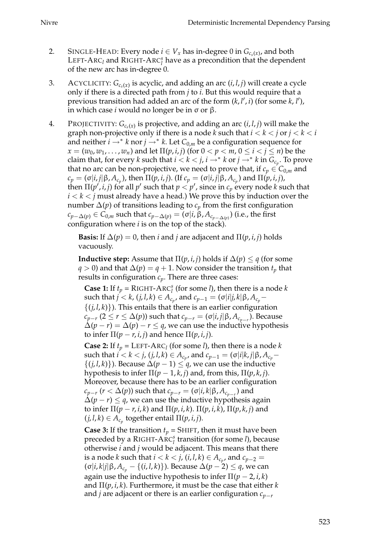- 2. SINGLE-HEAD: Every node  $i \in V_x$  has in-degree 0 in  $G_{c_5}(x)$ , and both LEFT-ARC*<sup>l</sup>* and RIGHT-ARC*<sup>s</sup> <sup>l</sup>* have as a precondition that the dependent of the new arc has in-degree 0.
- 3. ACYCLICITY:  $G_{c_{s}(x)}$  is acyclic, and adding an arc  $(i, l, j)$  will create a cycle only if there is a directed path from *j* to *i*. But this would require that a previous transition had added an arc of the form (*k, l', i*) (for some *k, l'*), in which case *i* would no longer be in σ or β.
- 4. PROJECTIVITY:  $G_{c_0(x)}$  is projective, and adding an arc  $(i, l, j)$  will make the graph non-projective only if there is a node *k* such that  $i < k < j$  or  $j < k < i$ and neither *i*  $\rightarrow$  *\* k* nor *j*  $\rightarrow$  *\* k*. Let  $C_{0,m}$  be a configuration sequence for  $x = (w_0, w_1, \ldots, w_n)$  and let  $\Pi(p, i, j)$  (for  $0 < p < m, 0 \le i < j \le n$ ) be the claim that, for every *k* such that  $i < k < j$ ,  $i \rightarrow^* k$  or  $j \rightarrow^* k$  in  $G_{c_n}$ . To prove that no arc can be non-projective, we need to prove that, if  $c_p \in C_{0,m}$  and  $c_p = (\sigma | i, j | \beta, A_{c_p})$ , then  $\Pi(p, i, j)$ . (If  $c_p = (\sigma | i, j | \beta, A_{c_p})$  and  $\Pi(p, i, j)$ , then  $\Pi(p', i, j)$  for all  $p'$  such that  $p < p'$ , since in  $c_p$  every node  $k$  such that *i* < *k* < *j* must already have a head.) We prove this by induction over the number  $\Delta(p)$  of transitions leading to  $c_p$  from the first configuration  $c_{p-∆(p)} ∈ C_{0,m}$  such that  $c_{p-∆(p)} = (σ|i, β, A_{c_{p-∆(p)}})$  (i.e., the first configuration where *i* is on the top of the stack).

**Basis:** If  $\Delta(p) = 0$ , then *i* and *j* are adjacent and  $\Pi(p, i, j)$  holds vacuously.

**Inductive step:** Assume that  $\Pi(p, i, j)$  holds if  $\Delta(p) \leq q$  (for some *q* > 0) and that  $\Delta(p) = q + 1$ . Now consider the transition  $t_p$  that results in configuration  $c_p$ . There are three cases:

**Case 1:** If  $t_p$  = RIGHT-ARC<sup>*s*</sup> (for some *l*), then there is a node *k* such that  $j < k$ ,  $(j, l, k) \in A_{c_p}$ , and  $c_{p-1} = (\sigma |i|j, k | \beta, A_{c_p} - \sigma)$  $\{(j, l, k)\}\)$ . This entails that there is an earlier configuration  $c_{p-r}$  (2 ≤ *r* ≤ ∆(*p*)) such that  $c_{p-r}$  = (σ|*i*, *j*|β,  $A_{c_{p-r}}$ ). Because  $\Delta(p - r) = \Delta(p) - r \leq q$ , we can use the inductive hypothesis to infer  $\Pi(p - r, i, j)$  and hence  $\Pi(p, i, j)$ .

**Case 2:** If  $t_p$  = LEFT-ARC<sub>*l*</sub> (for some *l*), then there is a node *k* such that *i* < *k* < *j*, (*j*, *l*, *k*) ∈ *A*<sub>*c<sub>p</sub>*</sub>, and *c*<sub>*p*−1</sub> = (σ|*i*|*k*, *j*|β, *A*<sub>*c<sub>p</sub>*</sub>−  $\{(j, l, k)\}\)$ . Because  $\Delta(p-1) \leq q$ , we can use the inductive hypothesis to infer  $\Pi(p-1,k,j)$  and, from this,  $\Pi(p,k,j)$ . Moreover, because there has to be an earlier configuration *c*<sub>*p*−*r*</sub> (*r* < ∆(*p*)) such that  $c_{p-r}$  = (σ|*i*, *k*|β,  $A_{c_{n-r}}$ ) and  $\Delta(p - r) \leq q$ , we can use the inductive hypothesis again to infer  $\Pi(p-r, i, k)$  and  $\Pi(p, i, k)$ .  $\Pi(p, i, k)$ ,  $\Pi(p, k, j)$  and  $(j, l, k) \in A_{c_n}$  together entail  $\Pi(p, i, j)$ .

**Case 3:** If the transition  $t_p = S H I F T$ , then it must have been preceded by a RIGHT-ARC*<sup>s</sup> <sup>l</sup>* transition (for some *l*), because otherwise *i* and *j* would be adjacent. This means that there is a node *k* such that  $i < k < j$ ,  $(i, l, k) \in A_{c_p}$ , and  $c_{p-2} =$  $(\sigma|i, k|j|\beta, A_{c_n} - \{(i, l, k)\})$ . Because  $\Delta(p-2) \leq q$ , we can again use the inductive hypothesis to infer  $\Pi(p-2, i, k)$ and Π(*p*, *i*, *k*). Furthermore, it must be the case that either *k* and *j* are adjacent or there is an earlier configuration *cp*−*<sup>r</sup>*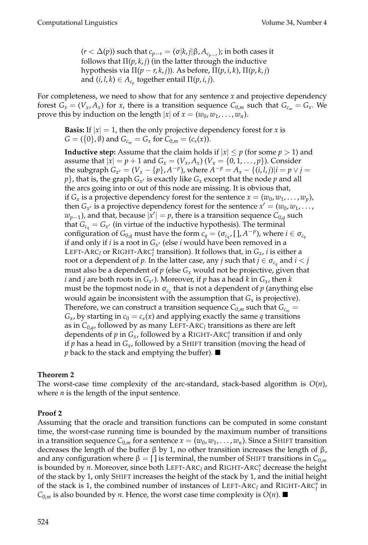$(r < \Delta(p))$  such that  $c_{p-r} = (\sigma | k, j | \beta, A_{c_{p-r}})$ ; in both cases it follows that  $\Pi(p, k, j)$  (in the latter through the inductive hypothesis via Π(*p* − *r*, *k*, *j*)). As before, Π(*p*, *i*, *k*), Π(*p*, *k*, *j*) and  $(i, l, k) \in A_{c_n}$  together entail  $\Pi(p, i, j)$ .

For completeness, we need to show that for any sentence *x* and projective dependency forest  $G_x = (V_x, A_x)$  for *x*, there is a transition sequence  $C_{0,m}$  such that  $G_{c_m} = G_x$ . We prove this by induction on the length  $|x|$  of  $x = (w_0, w_1, \ldots, w_n)$ .

**Basis:** If  $|x| = 1$ , then the only projective dependency forest for *x* is  $G = (\{0\}, \emptyset)$  and  $G_{c_m} = G_x$  for  $C_{0,m} = (c_s(x))$ .

**Inductive step:** Assume that the claim holds if  $|x| \leq p$  (for some  $p > 1$ ) and assume that  $|x| = p + 1$  and  $G_x = (V_x, A_x)$   $(V_x = \{0, 1, ..., p\})$ . Consider the subgraph  $G_{x'} = (V_x - \{p\}, A^{-p})$ , where  $A^{-p} = A_x - \{(i, l, j)|i = p \vee j = p\}$  $p\}$ , that is, the graph  $G_{x'}$  is exactly like  $G_x$  except that the node  $p$  and all the arcs going into or out of this node are missing. It is obvious that, if  $G_x$  is a projective dependency forest for the sentence  $x = (w_0, w_1, \ldots, w_p)$ , then  $G_{x'}$  is a projective dependency forest for the sentence  $x' = (w_0, w_1, \ldots, w_{n'})$  $w_{p-1}$ ), and that, because  $|x'| = p$ , there is a transition sequence  $C_{0,q}$  such that  $G_{c_q} = G_{x'}$  (in virtue of the inductive hypothesis). The terminal configuration of *G*<sub>0,*q*</sub> must have the form *c<sub>q</sub>* = ( $\sigma_{c_q}$ , [], *A*<sup>-*p*</sup>), where *i*  $\in \sigma_{c_q}$ if and only if *i* is a root in *Gx*- (else *i* would have been removed in a LEFT-ARC<sub>*l*</sub> or RIGHT-ARC<sup>*s*</sup></sup> transition). It follows that, in  $G_x$ , *i* is either a root or a dependent of  $p$ . In the latter case, any  $j$  such that  $j \in \sigma_{c_q}$  and  $i < j$ must also be a dependent of  $p$  (else  $G_x$  would not be projective, given that *i* and *j* are both roots in  $G_{x'}$ ). Moreover, if *p* has a head *k* in  $G_x$ , then *k* must be the topmost node in  $\sigma_{c}$  that is not a dependent of  $p$  (anything else would again be inconsistent with the assumption that  $G_x$  is projective). Therefore, we can construct a transition sequence  $C_{0,m}$  such that  $G_{c_m}$  =  $G_x$ , by starting in  $c_0 = c_s(x)$  and applying exactly the same *q* transitions as in  $C_{0,a}$ , followed by as many LEFT-ARC<sub>l</sub> transitions as there are left dependents of *p* in *Gx*, followed by a RIGHT-ARC*<sup>s</sup> <sup>l</sup>* transition if and only if  $p$  has a head in  $G_x$ , followed by a SHIFT transition (moving the head of *p* back to the stack and emptying the buffer).  $\blacksquare$ 

### **Theorem 2**

The worst-case time complexity of the arc-standard, stack-based algorithm is  $O(n)$ , where *n* is the length of the input sentence.

### **Proof 2**

Assuming that the oracle and transition functions can be computed in some constant time, the worst-case running time is bounded by the maximum number of transitions in a transition sequence  $C_{0,m}$  for a sentence  $x = (w_0, w_1, \ldots, w_n)$ . Since a SHIFT transition decreases the length of the buffer  $β$  by 1, no other transition increases the length of  $β$ , and any configuration where  $\beta = [\ ]$  is terminal, the number of SHIFT transitions in  $C_{0,m}$ is bounded by *n*. Moreover, since both LEFT-ARC*<sup>l</sup>* and RIGHT-ARC*<sup>s</sup> <sup>l</sup>* decrease the height of the stack by 1, only SHIFT increases the height of the stack by 1, and the initial height of the stack is 1, the combined number of instances of LEFT-ARC<sub>l</sub> and RIGHT-ARC<sup>*s*</sup> in  $C_{0,m}$  is also bounded by *n*. Hence, the worst case time complexity is  $O(n)$ .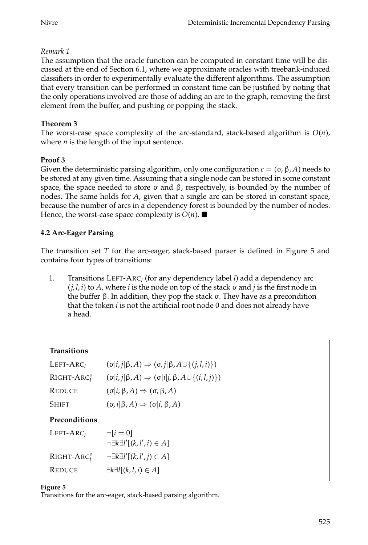## *Remark 1*

The assumption that the oracle function can be computed in constant time will be discussed at the end of Section 6.1, where we approximate oracles with treebank-induced classifiers in order to experimentally evaluate the different algorithms. The assumption that every transition can be performed in constant time can be justified by noting that the only operations involved are those of adding an arc to the graph, removing the first element from the buffer, and pushing or popping the stack.

## **Theorem 3**

The worst-case space complexity of the arc-standard, stack-based algorithm is  $O(n)$ , where *n* is the length of the input sentence.

## **Proof 3**

Given the deterministic parsing algorithm, only one configuration  $c = (\sigma, \beta, A)$  needs to be stored at any given time. Assuming that a single node can be stored in some constant space, the space needed to store  $\sigma$  and  $\beta$ , respectively, is bounded by the number of nodes. The same holds for *A*, given that a single arc can be stored in constant space, because the number of arcs in a dependency forest is bounded by the number of nodes. Hence, the worst-case space complexity is  $O(n)$ .

## **4.2 Arc-Eager Parsing**

The transition set *T* for the arc-eager, stack-based parser is defined in Figure 5 and contains four types of transitions:

1. Transitions LEFT-ARC*<sup>l</sup>* (for any dependency label *l*) add a dependency arc  $(i, l, i)$  to *A*, where *i* is the node on top of the stack  $\sigma$  and *j* is the first node in the buffer  $β$ . In addition, they pop the stack  $σ$ . They have as a precondition that the token *i* is not the artificial root node 0 and does not already have a head.

## **Transitions**

| $LEFT-ARC1$         | $(\sigma i, j \beta, A) \Rightarrow (\sigma, j \beta, A \cup \{(j, l, i)\})$   |
|---------------------|--------------------------------------------------------------------------------|
| $R$ IGHT-ARC $^e_I$ | $(\sigma i, j \beta, A) \Rightarrow (\sigma i j, \beta, A \cup \{(i, l, j)\})$ |
| <b>REDUCE</b>       | $(\sigma i, \beta, A) \Rightarrow (\sigma, \beta, A)$                          |
| <b>SHIFT</b>        | $(\sigma, i   \beta, A) \Rightarrow (\sigma   i, \beta, A)$                    |
| Preconditions       |                                                                                |
| $LEFT-ARC1$         | $\neg[i=0]$                                                                    |
|                     | $\neg \exists k \exists l'[(k, l', i) \in A]$                                  |
|                     |                                                                                |
| $R$ IGHT-ARC $^e_I$ | $\neg \exists k \exists l'[(k, l', j) \in A]$                                  |

**Figure 5**

Transitions for the arc-eager, stack-based parsing algorithm.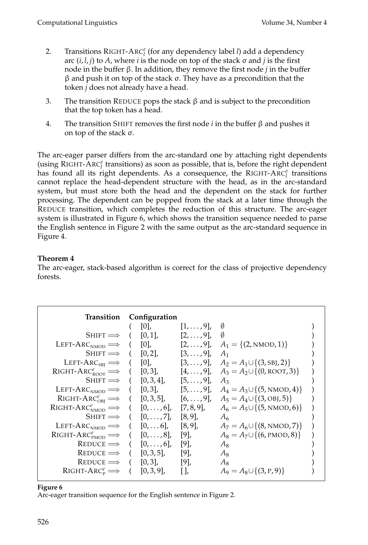- 2. Transitions RIGHT-ARC*<sup>e</sup> <sup>l</sup>* (for any dependency label *l*) add a dependency arc (*i*, *l*, *j*) to *A*, where *i* is the node on top of the stack σ and *j* is the first node in the buffer β. In addition, they remove the first node *j* in the buffer β and push it on top of the stack σ. They have as a precondition that the token *j* does not already have a head.
- 3. The transition REDUCE pops the stack  $β$  and is subject to the precondition that the top token has a head.
- 4. The transition SHIFT removes the first node *i* in the buffer β and pushes it on top of the stack σ.

The arc-eager parser differs from the arc-standard one by attaching right dependents (using RIGHT-ARC*<sup>e</sup> <sup>l</sup>* transitions) as soon as possible, that is, before the right dependent has found all its right dependents. As a consequence, the RIGHT-ARC<sup>e</sup> transitions cannot replace the head-dependent structure with the head, as in the arc-standard system, but must store both the head and the dependent on the stack for further processing. The dependent can be popped from the stack at a later time through the REDUCE transition, which completes the reduction of this structure. The arc-eager system is illustrated in Figure 6, which shows the transition sequence needed to parse the English sentence in Figure 2 with the same output as the arc-standard sequence in Figure 4.

## **Theorem 4**

The arc-eager, stack-based algorithm is correct for the class of projective dependency forests.

| Transition                                 | Configuration      |                    |                                           |  |
|--------------------------------------------|--------------------|--------------------|-------------------------------------------|--|
|                                            | $[0]$ ,            | $[1, \ldots, 9]$ , | Ø                                         |  |
| $SHIFT \Longrightarrow$                    | $[0,1]$ ,          | $[2, \ldots, 9]$ , | Ø                                         |  |
| $LEFT-ARCNMOD \Longrightarrow$             | [0]                | $[2,\ldots,9]$ ,   | $A_1 = \{(2, NMOD, 1)\}\$                 |  |
| $SHIFT \Longrightarrow$                    | $[0, 2]$ ,         | $[3, \ldots, 9]$ , | A <sub>1</sub>                            |  |
| LEFT-ARC <sub>SBI</sub> $\Longrightarrow$  | [0]                | $[3, \ldots, 9]$ , | $A_2 = A_1 \cup \{(3, SBJ, 2)\}\$         |  |
| $RIGHT-ARC_{ROOT}^e \Longrightarrow$       | $[0,3]$ ,          | $[4, \ldots, 9]$ , | $A_3 = A_2 \cup \{(0, \text{ROOT}, 3)\}\$ |  |
| $SHIFT \Longrightarrow$                    | $[0,3,4]$ ,        | $[5, \ldots, 9]$ , | $A_3$                                     |  |
| LEFT-ARC <sub>NMOD</sub> $\Longrightarrow$ | $[0,3]$ ,          | $[5, \ldots, 9]$ , | $A_4 = A_3 \cup \{(5, NMOD, 4)\}\$        |  |
| $RIGHT-ARC_{OBI}^e \Longrightarrow$        | $[0,3,5]$ ,        | $[6, \ldots, 9]$ , | $A_5 = A_4 \cup \{(3, \text{OBJ}, 5)\}\$  |  |
| $RIGHT-ARCeNMOD \Longrightarrow$           | $[0,\ldots,6],$    | $[7,8,9]$ ,        | $A_6 = A_5 \cup \{(5, NMOD, 6)\}\$        |  |
| $SHIFT \Longrightarrow$                    | $[0, \ldots, 7]$ , | $[8, 9]$ ,         | $A_6$                                     |  |
| LEFT-ARC <sub>NMOD</sub> $\Longrightarrow$ | $[0, \ldots 6]$    | $[8, 9]$ ,         | $A_7 = A_6 \cup \{(8, NMOD, 7)\}\$        |  |
| $RIGHT-ARCePMOD \Longrightarrow$           | $[0,\ldots,8],$    | $[9]$ ,            | $A_8 = A_7 \cup \{(6, \text{PMOD}, 8)\}\$ |  |
| $REDUCE \implies$                          | $[0,\ldots,6],$    | 19I.               | $A_8$                                     |  |
| $REDUCE \implies$                          | $[0,3,5]$ ,        | 19I.               | $A_8$                                     |  |
| $REDUCE \implies$                          | $[0,3]$ ,          | $[9]$ ,            | $A_8$                                     |  |
| $RIGHT-ARC_P^e \Longrightarrow$            | $[0,3,9]$ ,        | $\mathsf{L}$       | $A_9 = A_8 \cup \{(3, P, 9)\}\$           |  |

#### **Figure 6**

Arc-eager transition sequence for the English sentence in Figure 2.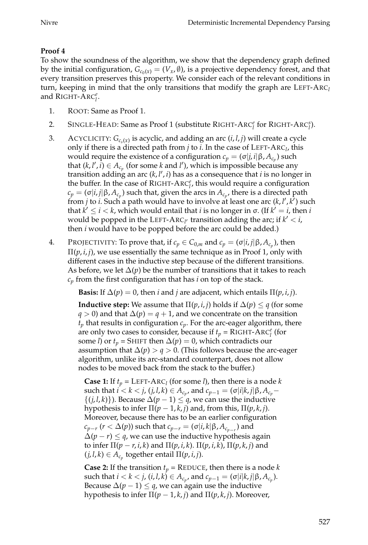## **Proof 4**

To show the soundness of the algorithm, we show that the dependency graph defined by the initial configuration,  $G_{c_0(x)} = (V_x, \emptyset)$ , is a projective dependency forest, and that every transition preserves this property. We consider each of the relevant conditions in turn, keeping in mind that the only transitions that modify the graph are LEFT-ARC*<sup>l</sup>* and RIGHT-ARC<sup>e</sup><sub>l</sub>.

- 1. ROOT: Same as Proof 1.
- 2. SINGLE-HEAD: Same as Proof 1 (substitute RIGHT-ARC<sup>e</sup> for RIGHT-ARC<sup>s</sup>).
- 3. ACYCLICITY:  $G_{c_5(x)}$  is acyclic, and adding an arc  $(i, l, j)$  will create a cycle only if there is a directed path from *j* to *i*. In the case of LEFT-ARC*l*, this would require the existence of a configuration  $c_p = (σ|j, i|β, A_{c_p})$  such that  $(k, l', i) \in A_{c_p}$  (for some *k* and *l'*), which is impossible because any transition adding an arc (*k*, *l* - , *i*) has as a consequence that *i* is no longer in the buffer. In the case of RIGHT-ARC<sup>*e*</sup><sub>*l*</sub>, this would require a configuration  $c_p = (\sigma | i, j | \beta, A_{c_p})$  such that, given the arcs in  $A_{c_p}$ , there is a directed path from *j* to *i*. Such a path would have to involve at least one arc (*k, l', k'* ) such that  $k' \le i < k$ , which would entail that *i* is no longer in σ. (If  $k' = i$ , then *i* would be popped in the LEFT-ARC<sub>l</sub>, transition adding the arc; if  $k' < i$ , then *i* would have to be popped before the arc could be added.)
- 4. PROJECTIVITY: To prove that, if  $c_p \in C_{0,m}$  and  $c_p = (\sigma | i, j | \beta, A_{c_p})$ , then  $\Pi(p, i, j)$ , we use essentially the same technique as in Proof 1, only with different cases in the inductive step because of the different transitions. As before, we let  $\Delta(p)$  be the number of transitions that it takes to reach *cp* from the first configuration that has *i* on top of the stack.

**Basis:** If  $\Delta(p) = 0$ , then *i* and *j* are adjacent, which entails  $\Pi(p, i, j)$ .

**Inductive step:** We assume that  $\Pi(p, i, j)$  holds if  $\Delta(p) \leq q$  (for some *q* > 0) and that  $\Delta$ (*p*) = *q* + 1, and we concentrate on the transition  $t_p$  that results in configuration  $c_p$ . For the arc-eager algorithm, there are only two cases to consider, because if  $t_p = \text{RIGHT-ARC}^e_l$  (for some *l*) or  $t_p$  = SHIFT then  $\Delta(p) = 0$ , which contradicts our assumption that  $\Delta(p) > q > 0$ . (This follows because the arc-eager algorithm, unlike its arc-standard counterpart, does not allow nodes to be moved back from the stack to the buffer.)

**Case 1:** If  $t_p$  = LEFT-ARC<sub>*l*</sub> (for some *l*), then there is a node *k* such that *i* < *k* < *j*, (*j*, *l*, *k*) ∈ *A*<sub>*c<sub>v</sub>*</sub>, and *c*<sub>*γ*-1</sub> = (σ|*i*|*k*, *j*|β, *A*<sub>*c<sub>v</sub></sub>* −</sub>  $\{(j, l, k)\}\)$ . Because  $\Delta(p-1) \leq q$ , we can use the inductive hypothesis to infer  $\Pi(p-1,k,j)$  and, from this,  $\Pi(p,k,j)$ . Moreover, because there has to be an earlier configuration  $c_{p-r}$  (*r* <  $\Delta(p)$ ) such that  $c_{p-r} = (\sigma | i, k | \beta, A_{c_{p-r}})$  and  $\Delta(p - r) \leq q$ , we can use the inductive hypothesis again to infer  $\Pi(p-r, i, k)$  and  $\Pi(p, i, k)$ .  $\Pi(p, i, k)$ ,  $\Pi(p, k, j)$  and  $(j, l, k) \in A_{c_n}$  together entail  $\Pi(p, i, j)$ .

**Case 2:** If the transition  $t_p$  = REDUCE, then there is a node  $k$ such that  $i < k < j$ ,  $(i, l, k) \in A_{c_p}$ , and  $c_{p-1} = (\sigma |i|k, j | \beta, A_{c_p})$ . Because  $\Delta(p-1) \leq q$ , we can again use the inductive hypothesis to infer  $\Pi(p-1,k,j)$  and  $\Pi(p,k,j)$ . Moreover,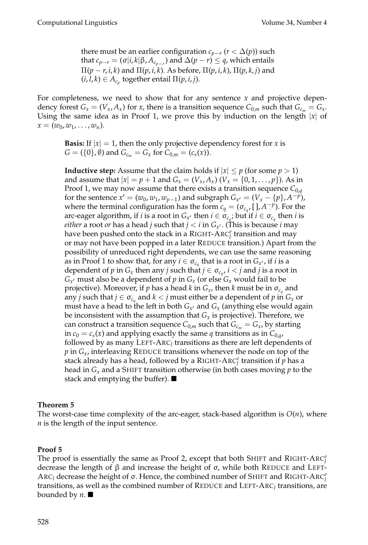there must be an earlier configuration  $c_{p-r}$  (*r* <  $\Delta(p)$ ) such that  $c_{p-r} = (\sigma | i, k | \beta, A_{c_{p-r}})$  and  $\Delta(p-r) \leq q$ , which entails  $\Pi(p-r, i, k)$  and  $\Pi(p, i, k)$ . As before,  $\Pi(p, i, k)$ ,  $\Pi(p, k, j)$  and  $(i, l, k) \in A_{c_p}$  together entail  $\Pi(p, i, j)$ .

For completeness, we need to show that for any sentence *x* and projective dependency forest  $G_x = (V_x, A_x)$  for *x*, there is a transition sequence  $C_{0,m}$  such that  $G_{c_m} = G_x$ . Using the same idea as in Proof 1, we prove this by induction on the length  $|x|$  of  $x = (w_0, w_1, \ldots, w_n).$ 

**Basis:** If  $|x| = 1$ , then the only projective dependency forest for *x* is  $G = (\{0\}, \emptyset)$  and  $G_{c_m} = G_x$  for  $C_{0,m} = (c_s(x))$ .

**Inductive step:** Assume that the claim holds if  $|x| \leq p$  (for some  $p > 1$ ) and assume that  $|x| = p + 1$  and  $G_x = (V_x, A_x)$   $(V_x = \{0, 1, ..., p\})$ . As in Proof 1, we may now assume that there exists a transition sequence  $C_{0,q}$ for the sentence  $x' = (w_0, w_1, w_{p-1})$  and subgraph  $G_{x'} = (V_x - \{p\}, A^{-p}),$ where the terminal configuration has the form  $c_q = (\sigma_{c_q}, [$  ],  $A^{-p}$ ). For the arc-eager algorithm, if *i* is a root in  $G_{x'}$  then  $i \in \sigma_{c_q}$ ; but if  $i \in \sigma_{c_q}$  then *i* is *either* a root *or* has a head *j* such that  $j < i$  in  $G_{x'}$ . (This is because  $i$  may have been pushed onto the stack in a RIGHT-ARC<sup> $e$ </sup> transition and may or may not have been popped in a later REDUCE transition.) Apart from the possibility of unreduced right dependents, we can use the same reasoning as in Proof 1 to show that, for any  $i \in \sigma_{c_q}$  that is a root in  $G_{x'}$ , if  $i$  is a dependent of *p* in  $G_x$  then any *j* such that  $j \in \sigma_{c_q}$ ,  $i < j$  and *j* is a root in  $G_{x'}$  must also be a dependent of  $p$  in  $G_x$  (or else  $G_x$  would fail to be projective). Moreover, if *p* has a head *k* in  $G_x$ , then *k* must be in  $\sigma_{c_q}$  and any *j* such that  $j \in \sigma_{c_q}$  and  $k < j$  must either be a dependent of p in  $G_x$  or must have a head to the left in both  $G_{x^\prime}$  and  $G_x$  (anything else would again be inconsistent with the assumption that  $G_x$  is projective). Therefore, we can construct a transition sequence  $C_{0,m}$  such that  $G_{c_m} = G_x$ , by starting in  $c_0 = c_s(x)$  and applying exactly the same *q* transitions as in  $C_{0,q}$ , followed by as many LEFT-ARC*<sup>l</sup>* transitions as there are left dependents of *p* in *Gx*, interleaving REDUCE transitions whenever the node on top of the stack already has a head, followed by a RIGHT-ARC $_{l}^{e}$  transition if  $\overline{p}$  has a head in *Gx* and a SHIFT transition otherwise (in both cases moving *p* to the stack and emptying the buffer).

### **Theorem 5**

The worst-case time complexity of the arc-eager, stack-based algorithm is  $O(n)$ , where *n* is the length of the input sentence.

#### **Proof 5**

The proof is essentially the same as Proof 2, except that both SHIFT and RIGHT-ARC*<sup>e</sup> l* decrease the length of β and increase the height of σ, while both REDUCE and LEFT-ARC*<sup>l</sup>* decrease the height of σ. Hence, the combined number of SHIFT and RIGHT-ARC*<sup>e</sup> l* transitions, as well as the combined number of REDUCE and LEFT-ARC*<sup>l</sup>* transitions, are bounded by *n*.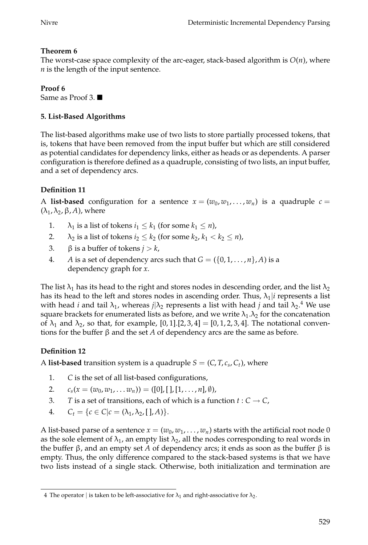## **Theorem 6**

The worst-case space complexity of the arc-eager, stack-based algorithm is *O*(*n*), where *n* is the length of the input sentence.

**Proof 6**

Same as Proof 3.

## **5. List-Based Algorithms**

The list-based algorithms make use of two lists to store partially processed tokens, that is, tokens that have been removed from the input buffer but which are still considered as potential candidates for dependency links, either as heads or as dependents. A parser configuration is therefore defined as a quadruple, consisting of two lists, an input buffer, and a set of dependency arcs.

## **Definition 11**

A **list-based** configuration for a sentence  $x = (w_0, w_1, \ldots, w_n)$  is a quadruple  $c =$  $(\lambda_1, \lambda_2, \beta, A)$ , where

- 1.  $\lambda_1$  is a list of tokens  $i_1 \leq k_1$  (for some  $k_1 \leq n$ ),
- 2.  $\lambda_2$  is a list of tokens  $i_2 \leq k_2$  (for some  $k_2$ ,  $k_1 < k_2 \leq n$ ),
- 3. β is a buffer of tokens *j* > *k*,
- 4. *A* is a set of dependency arcs such that  $G = (\{0, 1, \ldots, n\}, A)$  is a dependency graph for *x*.

The list  $\lambda_1$  has its head to the right and stores nodes in descending order, and the list  $\lambda_2$ has its head to the left and stores nodes in ascending order. Thus,  $\lambda_1|i$  represents a list with head *i* and tail  $\lambda_1$ , whereas  $j | \lambda_2$  represents a list with head *j* and tail  $\lambda_2$ .<sup>4</sup> We use square brackets for enumerated lists as before, and we write  $\lambda_1 \cdot \lambda_2$  for the concatenation of  $\lambda_1$  and  $\lambda_2$ , so that, for example, [0, 1].[2, 3, 4] = [0, 1, 2, 3, 4]. The notational conventions for the buffer β and the set *A* of dependency arcs are the same as before.

## **Definition 12**

A **list-based** transition system is a quadruple  $S = (C, T, c_s, C_t)$ , where

- 1. *C* is the set of all list-based configurations,
- 2.  $c_s(x = (w_0, w_1, \ldots, w_n)) = ([0], [1], [1, \ldots, n], \emptyset),$
- 3. *T* is a set of transitions, each of which is a function  $t : C \to C$ ,
- 4.  $C_t = \{c \in C | c = (\lambda_1, \lambda_2, [ , A) \}.$

A list-based parse of a sentence  $x = (w_0, w_1, \ldots, w_n)$  starts with the artificial root node 0 as the sole element of  $\lambda_1$ , an empty list  $\lambda_2$ , all the nodes corresponding to real words in the buffer  $β$ , and an empty set *A* of dependency arcs; it ends as soon as the buffer  $β$  is empty. Thus, the only difference compared to the stack-based systems is that we have two lists instead of a single stack. Otherwise, both initialization and termination are

<sup>4</sup> The operator | is taken to be left-associative for  $\lambda_1$  and right-associative for  $\lambda_2$ .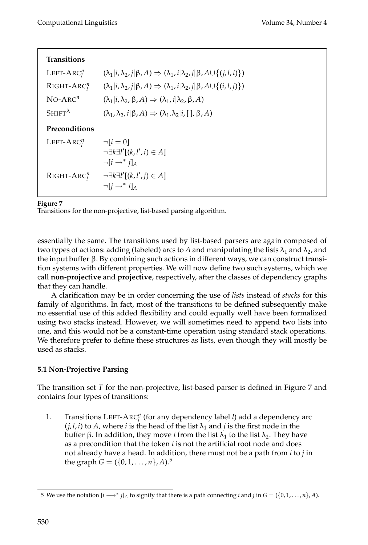| <b>Transitions</b>                  |                                                                                                            |
|-------------------------------------|------------------------------------------------------------------------------------------------------------|
| LEFT-ARC <sup>n</sup>               | $(\lambda_1 i, \lambda_2, i \beta, A) \Rightarrow (\lambda_1, i \lambda_2, i \beta, A \cup \{(i, l, i)\})$ |
| $R$ IGHT-ARC $n$                    | $(\lambda_1 i, \lambda_2, i \beta, A) \Rightarrow (\lambda_1, i \lambda_2, i \beta, A \cup \{(i, l, i)\})$ |
| $NO-ARC^n$                          | $(\lambda_1   i, \lambda_2, \beta, A) \Rightarrow (\lambda_1, i   \lambda_2, \beta, A)$                    |
| $SHIFT^{\lambda}$                   | $(\lambda_1, \lambda_2, i   \beta, A) \Rightarrow (\lambda_1, \lambda_2   i, [\ ], \beta, A)$              |
|                                     |                                                                                                            |
| Preconditions                       |                                                                                                            |
| LEFT-ARC <sup>n</sup> $\neg[i = 0]$ | $\neg \exists k \exists l'[(k, l', i) \in A]$<br>$\neg [i \rightarrow^* j]_A$                              |

#### **Figure 7**

Transitions for the non-projective, list-based parsing algorithm.

essentially the same. The transitions used by list-based parsers are again composed of two types of actions: adding (labeled) arcs to *A* and manipulating the lists  $\lambda_1$  and  $\lambda_2$ , and the input buffer β. By combining such actions in different ways, we can construct transition systems with different properties. We will now define two such systems, which we call **non-projective** and **projective**, respectively, after the classes of dependency graphs that they can handle.

A clarification may be in order concerning the use of *lists* instead of *stacks* for this family of algorithms. In fact, most of the transitions to be defined subsequently make no essential use of this added flexibility and could equally well have been formalized using two stacks instead. However, we will sometimes need to append two lists into one, and this would not be a constant-time operation using standard stack operations. We therefore prefer to define these structures as lists, even though they will mostly be used as stacks.

### **5.1 Non-Projective Parsing**

The transition set *T* for the non-projective, list-based parser is defined in Figure 7 and contains four types of transitions:

1. Transitions LEFT-ARC*<sup>n</sup> <sup>l</sup>* (for any dependency label *l*) add a dependency arc  $(j, l, i)$  to *A*, where *i* is the head of the list  $\lambda_1$  and *j* is the first node in the buffer β. In addition, they move *i* from the list  $λ_1$  to the list  $λ_2$ . They have as a precondition that the token *i* is not the artificial root node and does not already have a head. In addition, there must not be a path from *i* to *j* in the graph  $G = (\{0, 1, ..., n\}, A)^{5}$ 

<sup>5</sup> We use the notation  $[i \rightarrow^* j]_A$  to signify that there is a path connecting *i* and *j* in  $G = (\{0, 1, \ldots, n\}, A)$ .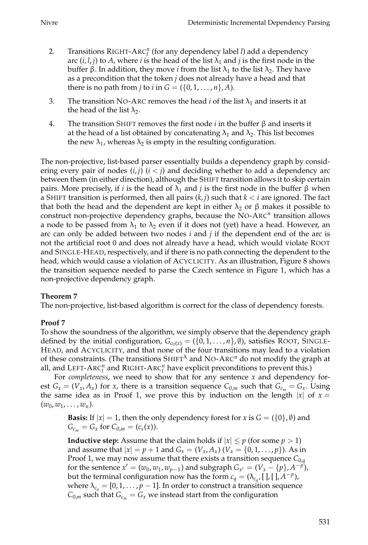- 2. Transitions RIGHT-ARC*<sup>n</sup> <sup>l</sup>* (for any dependency label *l*) add a dependency arc  $(i, l, j)$  to *A*, where *i* is the head of the list  $\lambda_1$  and *j* is the first node in the buffer β. In addition, they move *i* from the list  $\lambda_1$  to the list  $\lambda_2$ . They have as a precondition that the token *j* does not already have a head and that there is no path from *j* to *i* in  $G = (\{0, 1, \ldots, n\}, A)$ .
- 3. The transition NO-ARC removes the head *i* of the list  $\lambda_1$  and inserts it at the head of the list  $\lambda_2$ .
- 4. The transition SHIFT removes the first node *i* in the buffer β and inserts it at the head of a list obtained by concatenating  $\lambda_1$  and  $\lambda_2$ . This list becomes the new  $\lambda_1$ , whereas  $\lambda_2$  is empty in the resulting configuration.

The non-projective, list-based parser essentially builds a dependency graph by considering every pair of nodes  $(i, j)$   $(i < j)$  and deciding whether to add a dependency arc between them (in either direction), although the SHIFT transition allows it to skip certain pairs. More precisely, if *i* is the head of  $λ_1$  and *j* is the first node in the buffer  $β$  when a SHIFT transition is performed, then all pairs  $(k, j)$  such that  $k < i$  are ignored. The fact that both the head and the dependent are kept in either  $\lambda_2$  or  $\beta$  makes it possible to construct non-projective dependency graphs, because the NO-ARC*<sup>n</sup>* transition allows a node to be passed from  $\lambda_1$  to  $\lambda_2$  even if it does not (yet) have a head. However, an arc can only be added between two nodes *i* and *j* if the dependent end of the arc is not the artificial root 0 and does not already have a head, which would violate ROOT and SINGLE-HEAD, respectively, and if there is no path connecting the dependent to the head, which would cause a violation of ACYCLICITY. As an illustration, Figure 8 shows the transition sequence needed to parse the Czech sentence in Figure 1, which has a non-projective dependency graph.

### **Theorem 7**

The non-projective, list-based algorithm is correct for the class of dependency forests.

### **Proof 7**

To show the soundness of the algorithm, we simply observe that the dependency graph defined by the initial configuration,  $G_{c_0(x)} = (\{\hat{0}, 1, \ldots, n\}, \emptyset)$ , satisfies ROOT, SINGLE-HEAD, and ACYCLICITY, and that none of the four transitions may lead to a violation of these constraints. (The transitions  $SHIFT^{\lambda}$  and NO-ARC<sup>*n*</sup> do not modify the graph at all, and LEFT-ARC<sup>n</sup> and RIGHT-ARC<sup>n</sup> have explicit preconditions to prevent this.)

For *completeness*, we need to show that for any sentence *x* and dependency forest  $G_x = (V_x, A_x)$  for *x*, there is a transition sequence  $C_{0,m}$  such that  $G_{c_m} = G_x$ . Using the same idea as in Proof 1, we prove this by induction on the length  $|x|$  of  $x =$  $(w_0, w_1, \ldots, w_n).$ 

**Basis:** If  $|x| = 1$ , then the only dependency forest for *x* is  $G = (\{0\}, \emptyset)$  and  $G_{c_m} = G_x$  for  $C_{0,m} = (c_s(x))$ .

**Inductive step:** Assume that the claim holds if  $|x| \leq p$  (for some  $p > 1$ ) and assume that  $|x| = p + 1$  and  $G_x = (V_x, A_x)$   $(V_x = \{0, 1, ..., p\})$ . As in Proof 1, we may now assume that there exists a transition sequence  $C_{0,q}$ for the sentence  $x' = (w_0, w_1, w_{p-1})$  and subgraph  $G_{x'} = (V_x - \{p\}, A^{-p}),$ but the terminal configuration now has the form  $c_q = (\lambda_{c_q}, [1], [1], A^{-p})$ , where  $\lambda_{c_q} = [0, 1, \dots, p-1]$ . In order to construct a transition sequence  $C_{0,m}$  such that  $G_{c_m} = G_x$  we instead start from the configuration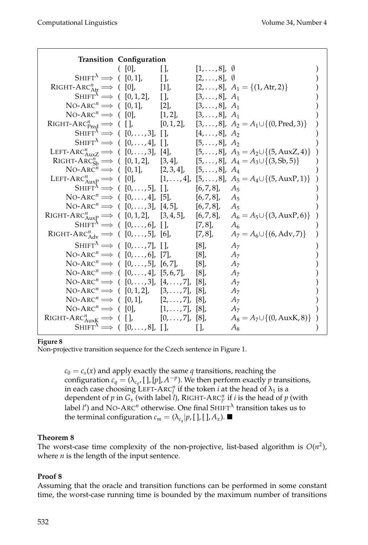|                                                                                                                                                                                               | <b>Transition Configuration</b> |                           |                                                                                                                     |
|-----------------------------------------------------------------------------------------------------------------------------------------------------------------------------------------------|---------------------------------|---------------------------|---------------------------------------------------------------------------------------------------------------------|
|                                                                                                                                                                                               | $([0], \qquad [$                | $[1,\ldots,8], \emptyset$ |                                                                                                                     |
| SHIFT <sup><math>\lambda \implies (0,1], \qquad [1, \qquad [2,\ldots,8], \emptyset]</math></sup>                                                                                              |                                 |                           |                                                                                                                     |
|                                                                                                                                                                                               |                                 |                           |                                                                                                                     |
| RIGHT-ARC <sup>n</sup> <sub>Atr</sub> $\implies$ ([0], [1], [2,,8], A <sub>1</sub> = {(1, Atr, 2)}<br>SHIFT <sup><math>\lambda</math></sup> $\implies$ ([0, 1, 2], [], [3,,8], A <sub>1</sub> |                                 |                           |                                                                                                                     |
| NO-ARC <sup>n</sup> $\implies$ ([0,1], [2], [3,,8], A <sub>1</sub>                                                                                                                            |                                 |                           |                                                                                                                     |
| NO-ARC <sup>n</sup> $\implies$ ([0], [1,2], [3,,8], A <sub>1</sub>                                                                                                                            |                                 |                           |                                                                                                                     |
|                                                                                                                                                                                               |                                 |                           | RIGHT-ARC <sup>n</sup> <sub>Pred</sub> $\implies$ ([], [0,1,2], [3,,8], $A_2 = A_1 \cup \{(0, \text{Pred}, 3)\}$    |
| SHIFT <sup><math>\lambda \implies (0, \ldots, 3], [1, 4, \ldots, 8], A_2</math></sup>                                                                                                         |                                 |                           |                                                                                                                     |
| SHIFT <sup><math>\lambda \implies (0, , 4], [</math>], [5,,8], <math>A_2</math></sup>                                                                                                         |                                 |                           |                                                                                                                     |
|                                                                                                                                                                                               |                                 |                           | LEFT-ARC <sup>n</sup> <sub>Aux</sub> <sub>Z</sub> $\implies$ ([0,,3], [4], [5,,8], $A_3 = A_2 \cup \{(5, AuxZ,4)\}$ |
|                                                                                                                                                                                               |                                 |                           | RIGHT-ARC <sub>Sb</sub> $\implies$ ([0,1,2], [3,4], [5,,8], $A_4 = A_3 \cup \{(3, Sb, 5)\}$                         |
| NO-ARC <sup>n</sup> $\implies$ ([0,1], [2,3,4], [5,,8], A <sub>4</sub>                                                                                                                        |                                 |                           |                                                                                                                     |
|                                                                                                                                                                                               |                                 |                           | LEFT-ARC <sup>n</sup> <sub>Aux</sub> p $\implies$ ([0], [1,,4], [5,,8], $A_5 = A_4 \cup \{(5, AuxP,1)\}$            |
| SHIFT <sup><math>\lambda \implies (0, \ldots, 5], [</math>],</sup>                                                                                                                            |                                 | [6,7,8]                   | $A_5$                                                                                                               |
| NO-ARC <sup>n</sup> $\Longrightarrow$ ([0,,4], [5],                                                                                                                                           |                                 | [6, 7, 8]                 | $A_5$                                                                                                               |
| NO-ARC <sup>n</sup> $\implies$ ([0,,3], [4,5], [6,7,8], A <sub>5</sub>                                                                                                                        |                                 |                           |                                                                                                                     |
| RIGHT-ARC <sup>n</sup> <sub>AuxP</sub> $\implies$ ([0,1,2], [3,4,5], [6,7,8],                                                                                                                 |                                 |                           | $A_6 = A_5 \cup \{(3, AuxP,6)\}\$                                                                                   |
| SHIFT <sup><math>\lambda \implies (0, \ldots, 6], [</math>],</sup>                                                                                                                            |                                 | $[7,8]$ ,                 | $A_6$                                                                                                               |
| RIGHT-ARC <sup>n</sup> <sub>Adv</sub> $\Longrightarrow$ ([0,,5], [6],                                                                                                                         |                                 | $[7,8]$ ,                 | $A_7 = A_6 \cup \{(6, Adv, 7)\}\$                                                                                   |
| SHIFT <sup><math>\lambda \implies (0, \ldots, 7], [</math>]</sup>                                                                                                                             |                                 | $[8]$ ,                   | $A_7$                                                                                                               |
| NO-ARC <sup>n</sup> $\Longrightarrow$ ([0,,6],[7],                                                                                                                                            |                                 | $[8]$ ,                   | $A_7$                                                                                                               |
| NO-ARC <sup>n</sup> $\Longrightarrow$ ([0,,5], [6,7],                                                                                                                                         |                                 | [8]                       | $A_7$                                                                                                               |
| NO-ARC <sup>n</sup> $\implies$ ([0, , 4], [5, 6, 7], [8],                                                                                                                                     |                                 |                           | $A_7$                                                                                                               |
| NO-ARC <sup>n</sup> $\implies$ ([0,,3], [4,,7], [8],                                                                                                                                          |                                 |                           | $A_7$                                                                                                               |
| NO-ARC <sup>n</sup> $\implies$ ([0,1,2], [3,,7], [8],                                                                                                                                         |                                 |                           | $A_7$                                                                                                               |
| NO-ARC <sup>n</sup> $\implies$ ([0,1], [2,,7], [8],                                                                                                                                           |                                 |                           | $A_7$                                                                                                               |
| NO-ARC <sup>n</sup> $\Longrightarrow$ ([0], [1,,7], [8],                                                                                                                                      |                                 |                           | $A_7$                                                                                                               |
| RIGHT-ARC <sup>n</sup> <sub>AuxK</sub> $\Longrightarrow$ ([], [0,,7], [8],                                                                                                                    |                                 |                           | $A_8 = A_7 \cup \{(0, \text{AuxK}, 8)\}\$                                                                           |
| SHIFT <sup><math>\lambda \implies (0, \ldots, 8], [</math>], [], [],</sup>                                                                                                                    |                                 |                           | $A_8$                                                                                                               |

#### **Figure 8**

Non-projective transition sequence for the Czech sentence in Figure 1.

 $c_0 = c_s(x)$  and apply exactly the same *q* transitions, reaching the configuration  $c_q = (\lambda_{c_q}, [ \cdot ] , [p]$ ,  $A^{-p}$ ). We then perform exactly *p* transitions, in each case choosing  $LEFT-ARC<sup>n</sup><sub>l</sub>$  if the token *i* at the head of  $\lambda_1$  is a dependent of *p* in  $G_x$  (with label *l*), RIGHT-ARC<sup>*n*</sup> if *i* is the head of *p* (with label *l'*) and NO-ARC<sup>n</sup> otherwise. One final SHIFT<sup>A</sup> transition takes us to the terminal configuration  $c_m = (\lambda_{c_q} | p, [ \cdot], [ \cdot], A_x)$ .

### **Theorem 8**

The worst-case time complexity of the non-projective, list-based algorithm is  $O(n^2)$ , where  $n$  is the length of the input sentence.

### **Proof 8**

Assuming that the oracle and transition functions can be performed in some constant time, the worst-case running time is bounded by the maximum number of transitions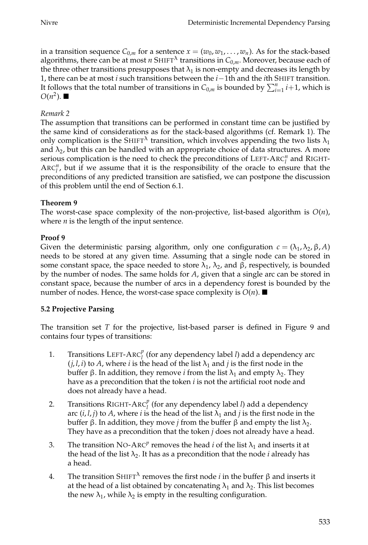in a transition sequence  $C_{0,m}$  for a sentence  $x = (w_0, w_1, \ldots, w_n)$ . As for the stack-based algorithms, there can be at most *n* SHIFT<sup> $\lambda$ </sup> transitions in  $C_{0,m}$ . Moreover, because each of the three other transitions presupposes that  $\lambda_1$  is non-empty and decreases its length by 1, there can be at most *i* such transitions between the *i*−1th and the *i*th SHIFT transition. It follows that the total number of transitions in  $C_{0,m}$  is bounded by  $\sum_{i=1}^{n} i+1$ , which is  $O(n^2)$ .

## *Remark 2*

The assumption that transitions can be performed in constant time can be justified by the same kind of considerations as for the stack-based algorithms (cf. Remark 1). The only complication is the SHIFT<sup> $\lambda$ </sup> transition, which involves appending the two lists  $\lambda_1$ and  $\lambda_2$ , but this can be handled with an appropriate choice of data structures. A more serious complication is the need to check the preconditions of LEFT-ARC<sup>*n*</sup> and RIGHT- $ARC<sub>l</sub><sup>n</sup>$ , but if we assume that it is the responsibility of the oracle to ensure that the preconditions of any predicted transition are satisfied, we can postpone the discussion of this problem until the end of Section 6.1.

## **Theorem 9**

The worst-case space complexity of the non-projective, list-based algorithm is *O*(*n*), where *n* is the length of the input sentence.

## **Proof 9**

Given the deterministic parsing algorithm, only one configuration  $c = (\lambda_1, \lambda_2, \beta, A)$ needs to be stored at any given time. Assuming that a single node can be stored in some constant space, the space needed to store  $λ_1$ ,  $λ_2$ , and  $β$ , respectively, is bounded by the number of nodes. The same holds for *A*, given that a single arc can be stored in constant space, because the number of arcs in a dependency forest is bounded by the number of nodes. Hence, the worst-case space complexity is  $O(n)$ .

## **5.2 Projective Parsing**

The transition set *T* for the projective, list-based parser is defined in Figure 9 and contains four types of transitions:

- 1. Transitions LEFT-ARC<sup>*p*</sup> (for any dependency label *l*) add a dependency arc  $(j, l, i)$  to *A*, where *i* is the head of the list  $\lambda_1$  and *j* is the first node in the buffer β. In addition, they remove *i* from the list  $λ_1$  and empty  $λ_2$ . They have as a precondition that the token *i* is not the artificial root node and does not already have a head.
- 2. Transitions  $RIGHT-ARC<sup>p</sup><sub>l</sub>$  (for any dependency label *l*) add a dependency arc  $(i, l, j)$  to *A*, where *i* is the head of the list  $\lambda_1$  and *j* is the first node in the buffer β. In addition, they move *j* from the buffer β and empty the list  $λ_2$ . They have as a precondition that the token *j* does not already have a head.
- 3. The transition NO-ARC<sup>*p*</sup> removes the head *i* of the list  $\lambda_1$  and inserts it at the head of the list  $\lambda_2$ . It has as a precondition that the node *i* already has a head.
- 4. The transition SHIFT<sup>λ</sup> removes the first node *i* in the buffer β and inserts it at the head of a list obtained by concatenating  $\lambda_1$  and  $\lambda_2$ . This list becomes the new  $\lambda_1$ , while  $\lambda_2$  is empty in the resulting configuration.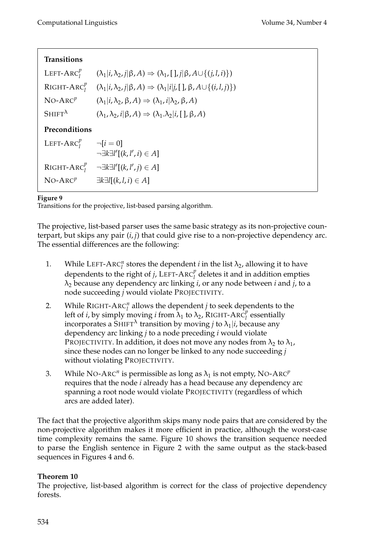| <b>Transitions</b>                 |                                                                                                        |
|------------------------------------|--------------------------------------------------------------------------------------------------------|
| LEFT-ARC <sub>l</sub> <sup>p</sup> | $(\lambda_1 i, \lambda_2, i \beta, A) \Rightarrow (\lambda_1, [\cdot], i \beta, A \cup \{(i, l, i)\})$ |
| $RIGHT-ARC_I^p$                    | $(\lambda_1 i, \lambda_2, j \beta, A) \Rightarrow (\lambda_1 i j, [], \beta, A \cup \{(i, l, j)\})$    |
| $NO-ARCp$                          | $(\lambda_1 i, \lambda_2, \beta, A) \Rightarrow (\lambda_1, i \lambda_2, \beta, A)$                    |
| $SHIFT^{\lambda}$                  | $(\lambda_1, \lambda_2, i   \beta, A) \Rightarrow (\lambda_1, \lambda_2   i, [\ ], \beta, A)$          |
|                                    |                                                                                                        |
| Preconditions                      |                                                                                                        |
| LEFT-ARC <sub>l</sub> $\neg[i=0]$  |                                                                                                        |
|                                    | $\neg \exists k \exists l'[(k, l', i) \in A]$                                                          |
|                                    | $RIGHT-ARC_l^p \quad \neg \exists k \exists l' [(k, l', j) \in A]$                                     |

#### **Figure 9**

Transitions for the projective, list-based parsing algorithm.

The projective, list-based parser uses the same basic strategy as its non-projective counterpart, but skips any pair  $(i, j)$  that could give rise to a non-projective dependency arc. The essential differences are the following:

- 1. While LEFT-ARC<sup>*n*</sup></sup> stores the dependent *i* in the list  $\lambda_2$ , allowing it to have dependents to the right of *j*, LEFT-ARC<sup>*p*</sup> deletes it and in addition empties  $\lambda_2$  because any dependency arc linking *i*, or any node between *i* and *j*, to a node succeeding *j* would violate PROJECTIVITY.
- 2. While RIGHT-ARC<sup>*n*</sup> allows the dependent *j* to seek dependents to the left of *i*, by simply moving *i* from  $\lambda_1$  to  $\lambda_2$ , RIGHT-ARC<sup>*p*</sup></sup> essentially incorporates a SHIFT<sup> $\lambda$ </sup> transition by moving *j* to  $\lambda_1|i$ , because any dependency arc linking *j* to a node preceding *i* would violate PROJECTIVITY. In addition, it does not move any nodes from  $\lambda_2$  to  $\lambda_1$ , since these nodes can no longer be linked to any node succeeding *j* without violating PROJECTIVITY.
- 3. While NO-ARC<sup>*n*</sup> is permissible as long as  $\lambda_1$  is not empty, NO-ARC<sup>*p*</sup> requires that the node *i* already has a head because any dependency arc spanning a root node would violate PROJECTIVITY (regardless of which arcs are added later).

The fact that the projective algorithm skips many node pairs that are considered by the non-projective algorithm makes it more efficient in practice, although the worst-case time complexity remains the same. Figure 10 shows the transition sequence needed to parse the English sentence in Figure 2 with the same output as the stack-based sequences in Figures 4 and 6.

## **Theorem 10**

The projective, list-based algorithm is correct for the class of projective dependency forests.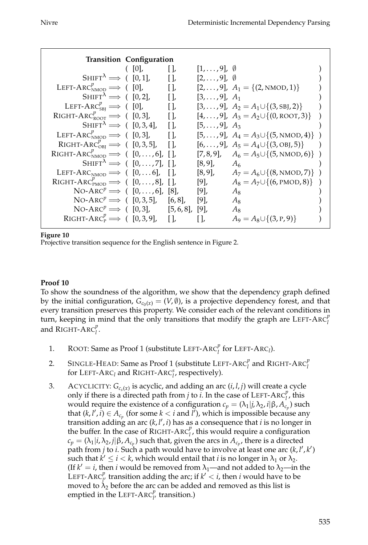| <b>Transition Configuration</b>                                           |          |                                       |                              |                                                        |  |
|---------------------------------------------------------------------------|----------|---------------------------------------|------------------------------|--------------------------------------------------------|--|
|                                                                           | $(10)$ , | $\begin{bmatrix} \cdot \end{bmatrix}$ | $[1,\ldots,9]$ , $\emptyset$ |                                                        |  |
| SHIFT <sup><math>\lambda \implies (0,1]</math>,</sup>                     |          | $\prod$                               | $[2,\ldots,9]$ , $\emptyset$ |                                                        |  |
| LEFT-ARC <sup><math>p</math></sup> <sub>NMOD</sub> $\implies$ ([0],       |          | $\Box$                                |                              | $[2,\ldots,9], A_1 = \{(2, NMOD,1)\}\$                 |  |
| SHIFT <sup><math>\lambda \implies (0,2)</math></sup>                      |          | $\mathbf{L}$                          | $[3, \ldots, 9]$ , $A_1$     |                                                        |  |
| LEFT-ARC <sup><math>p</math></sup> <sub>SBI</sub> $\implies$ ([0],        |          | $\mathcal{L}$                         |                              | [3, , 9], $A_2 = A_1 \cup \{(3, SBJ, 2)\}$             |  |
| RIGHT-ARC <sub>ROOT</sub> $\implies$ ([0,3],                              |          | $\Box$                                |                              | $[4,\ldots,9], A_3 = A_2 \cup \{(0, \text{ROOT},3)\}\$ |  |
| SHIFT <sup><math>\lambda \implies (0,3,4], [1,</math></sup>               |          |                                       | $[5, \ldots, 9]$ , $A_3$     |                                                        |  |
| LEFT-ARC <sub>NMOD</sub> $\implies$ ([0,3],                               |          | $\prod$                               |                              | $[5,\ldots,9], A_4 = A_3 \cup \{(5, NMOD,4)\}\$        |  |
| RIGHT-ARC <sub>OBI</sub> $\Longrightarrow$ ([0,3,5],                      |          | $\Box$                                |                              | $[6,\ldots,9], A_5 = A_4 \cup \{(3,OBJ,5)\}\$          |  |
| RIGHT-ARC <sup><i>P</i></sup> <sub>NMOD</sub> $\implies$ ([0,,6], [],     |          |                                       |                              | [7,8,9], $A_6 = A_5 \cup \{(5, NMOD, 6)\}\$            |  |
| SHIFT <sup><math>\lambda \implies (0, \ldots, 7], [</math>]</sup>         |          |                                       | $[8, 9]$ ,                   | $A_{6}$                                                |  |
| LEFT-ARC <sub>NMOD</sub> $\implies$ ([0,6], [],                           |          |                                       | $[8, 9]$ ,                   | $A_7 = A_6 \cup \{(8, NMOD, 7)\}\$                     |  |
| RIGHT-ARC <sub>PMOD</sub> $\implies$ ([0,,8], [],                         |          |                                       | $[9]$ ,                      | $A_8 = A_7 \cup \{(6, \text{PMOD}, 8)\}\$              |  |
| NO-ARC <sup><math>p \implies (0, \ldots, 6], [8],</math></sup>            |          |                                       | [9],                         | $A_8$                                                  |  |
| NO-ARC <sup><math>p \implies (0, 3, 5]</math>, <math>[6, 8]</math>,</sup> |          |                                       | $[9]$ ,                      | $A_8$                                                  |  |
| NO-ARC <sup><math>p</math></sup> $\implies$ ([0,3], [5,6,8], [9],         |          |                                       |                              | $A_8$                                                  |  |
| RIGHT-ARC <sup>p</sup> $\Longrightarrow$ ([0,3,9], [],                    |          |                                       | $\mathbf{L}$                 | $A_9 = A_8 \cup \{(3, P, 9)\}\$                        |  |

**Figure 10**

Projective transition sequence for the English sentence in Figure 2.

### **Proof 10**

To show the soundness of the algorithm, we show that the dependency graph defined by the initial configuration,  $G_{c_0(x)} = (V, \emptyset)$ , is a projective dependency forest, and that every transition preserves this property. We consider each of the relevant conditions in turn, keeping in mind that the only transitions that modify the graph are LEFT-ARC<sup>*p*</sup> and  $R$ *IGHT-ARC<sup>p</sup>*.

- 1. ROOT: Same as Proof 1 (substitute LEFT-ARC<sup>*p*</sup> for LEFT-ARC<sub>*l*</sub>).
- 2. SINGLE-HEAD: Same as Proof 1 (substitute LEFT-ARC<sup>*p*</sup> and RIGHT-ARC<sup>*p*</sup> for LEFT-ARC<sub>l</sub> and RIGHT-ARC<sup>*s*</sup><sub>l</sub>, respectively).
- 3. ACYCLICITY:  $G_{c_s(x)}$  is acyclic, and adding an arc  $(i, l, j)$  will create a cycle only if there is a directed path from *j* to *i*. In the case of LEFT-ARC<sup>*p*</sup>, this would require the existence of a configuration  $c_p = (λ_1 | j, λ_2, i | β, A_{c_p})$  such that  $(k, l', i) \in A_{c_p}$  (for some  $k < i$  and  $l'$ ), which is impossible because any transition adding an arc (*k*, *l* - , *i*) has as a consequence that *i* is no longer in the buffer. In the case of  $RIGHT-ARC<sub>l</sub><sup>p</sup>$ , this would require a configuration  $c_p = (\lambda_1 | i, \lambda_2, j | \beta, A_{c_p})$  such that, given the arcs in  $A_{c_p}$ , there is a directed path from *j* to *i*. Such a path would have to involve at least one arc (*k*, *l* - , *k*- ) such that  $k' \leq i < k$ , which would entail that *i* is no longer in  $\lambda_1$  or  $\lambda_2$ . (If  $k' = i$ , then *i* would be removed from  $\lambda_1$ —and not added to  $\lambda_2$ —in the LEFT-ARC<sup>*p*</sup></sup> transition adding the arc; if  $k' < i$ , then *i* would have to be moved to  $\lambda_2$  before the arc can be added and removed as this list is emptied in the LEFT-ARC<sup>*p*</sup></sup> transition.)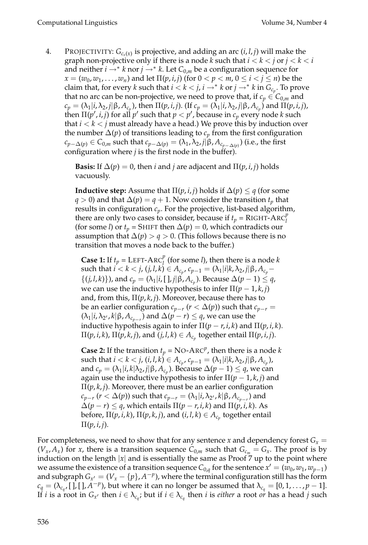4. PROJECTIVITY:  $G_{c_0(x)}$  is projective, and adding an arc  $(i, l, j)$  will make the graph non-projective only if there is a node *k* such that  $i < k < j$  or  $j < k < i$ and neither  $i \rightarrow^* k$  nor  $j \rightarrow^* k$ . Let  $C_{0,m}$  be a configuration sequence for  $x = (w_0, w_1, \ldots, w_n)$  and let  $\Pi(p, i, j)$  (for  $0 < p < m, 0 \le i < j \le n$ ) be the claim that, for every *k* such that  $i < k < j$ ,  $i \rightarrow^* k$  or  $j \rightarrow^* k$  in  $G_{c_n}$ . To prove that no arc can be non-projective, we need to prove that, if  $c_p \in C_{0,m}$  and  $c_p = (\lambda_1 | i, \lambda_2, j | \beta, A_{c_p})$ , then  $\Pi(p, i, j)$ . (If  $c_p = (\lambda_1 | i, \lambda_2, j | \beta, A_{c_p})$  and  $\Pi(p, i, j)$ , then  $\Pi(p', i, j)$  for all  $p'$  such that  $p < p'$ , because in  $c_p$  every node  $k$  such that  $i < k < j$  must already have a head.) We prove this by induction over the number  $\Delta(p)$  of transitions leading to  $c_p$  from the first configuration  $c_{p-∆(p)} ∈ C_{0,m}$  such that  $c_{p-∆(p)} = (λ_1, λ_2, j | β, A_{c_{p-∆(p)}})$  (i.e., the first configuration where *j* is the first node in the buffer).

> **Basis:** If  $\Delta(p) = 0$ , then *i* and *j* are adjacent and  $\Pi(p, i, j)$  holds vacuously.

**Inductive step:** Assume that  $\Pi(p, i, j)$  holds if  $\Delta(p) \leq q$  (for some *q* > 0) and that  $\Delta$ (*p*) = *q* + 1. Now consider the transition *t<sub>p</sub>* that results in configuration  $c_p$ . For the projective, list-based algorithm, there are only two cases to consider, because if  $t_p = \text{RIGHT-ARC}_l^p$ (for some *l*) or  $t_p$  = SHIFT then  $\Delta(p) = 0$ , which contradicts our assumption that  $\Delta(p) > q > 0$ . (This follows because there is no transition that moves a node back to the buffer.)

**Case 1:** If  $t_p$  = LEFT-ARC<sup>*p*</sup> (for some *l*), then there is a node *k* such that *i* < *k* < *j*, (*j*, *l*, *k*) ∈ *A*<sub>*c<sub>p</sub></sub>*, *c*<sub>*p*−1</sub> = (λ<sub>1</sub>|*i*|*k*, λ<sub>2</sub>, *j*|β, *A*<sub>*c<sub>p</sub>*−</sub></sub>  $\{(j, l, k)\}\)$ , and  $c_p = (\lambda_1 | i, [l], j | \beta, A_{c_p})$ . Because  $\Delta(p - 1) \le q$ , we can use the inductive hypothesis to infer  $\Pi(p-1,k,j)$ and, from this,  $\Pi(p, k, j)$ . Moreover, because there has to be an earlier configuration  $c_{p-r}$  ( $r < \Delta(p)$ ) such that  $c_{p-r}$  =  $(\lambda_1|i,\lambda_{2'},k|\beta,A_{c_{p-r}})$  and  $\Delta(p-r)\leq q$ , we can use the inductive hypothesis again to infer  $\Pi(p-r, i, k)$  and  $\Pi(p, i, k)$ .  $\Pi(p, i, k)$ ,  $\Pi(p, k, j)$ , and  $(j, l, k) \in A_{c_p}$  together entail  $\Pi(p, i, j)$ .

**Case 2:** If the transition  $t_p$  = NO-ARC<sup>*p*</sup>, then there is a node *k* such that  $i < k < j$ ,  $(i, l, k) \in A_{c_n}, c_{p-1} = (\lambda_1 |i|k, \lambda_2, j | \beta, A_{c_n})$ , and  $c_p = (\lambda_1 | i, k | \lambda_2, j | \beta, A_{c_p})$ . Because  $\Delta(p-1) \leq q$ , we can again use the inductive hypothesis to infer  $\Pi(p-1,k,j)$  and Π(*p*, *k*, *j*). Moreover, there must be an earlier configuration  $c_{p-r}$  (*r* <  $\Delta(p)$ ) such that  $c_{p-r} = (\lambda_1 | i, \lambda_{2'}, k | \beta, A_{c_{p-r}})$  and  $\Delta(p - r) \leq q$ , which entails  $\Pi(p - r, i, k)$  and  $\Pi(p, i, k)$ . As before,  $\Pi(p, i, k)$ ,  $\Pi(p, k, j)$ , and  $(i, l, k) \in A_{c_p}$  together entail  $\Pi(p, i, j)$ .

For completeness, we need to show that for any sentence *x* and dependency forest  $G_x$  =  $(V_x, A_x)$  for *x*, there is a transition sequence  $C_{0,m}$  such that  $G_{c_m} = G_x$ . The proof is by induction on the length  $|x|$  and is essentially the same as Proof 7 up to the point where we assume the existence of a transition sequence  $C_{0,q}$  for the sentence  $x' = (w_0, w_1, w_{p-1})$ and subgraph  $G_{x'} = (V_x - \{p\}, A^{-p})$ , where the terminal configuration still has the form  $c_q = (\lambda_{c_q}, [ \ ] , [ \ ] , A^{-p})$ , but where it can no longer be assumed that  $\lambda_{c_q} = [0, 1, \ldots, p-1]$ . If *i* is a root in  $G_{x'}$  then  $i \in \lambda_{c_q}$ ; but if  $i \in \lambda_{c_q}$  then *i* is *either* a root *or* has a head *j* such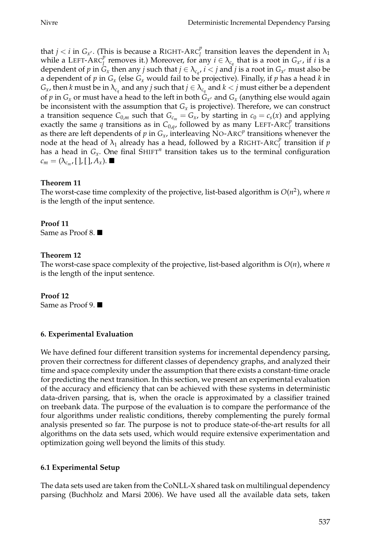that  $j < i$  in  $G_{x'}$ . (This is because a RIGHT-ARC<sup>*p*</sup> transition leaves the dependent in  $\lambda_1$ while a LEFT-ARC<sup>*p*</sup> removes it.) Moreover, for any  $i \in \lambda_{c_q}$  that is a root in  $G_{x'}$ , if *i* is a dependent of  $p$  in  $G_x$  then any  $j$  such that  $j \in \lambda_{c_q}$ ,  $i < j$  and  $j$  is a root in  $G_{x'}$  must also be a dependent of *p* in  $G_x$  (else  $G_x$  would fail to be projective). Finally, if *p* has a head *k* in *G<sub>x</sub>*, then *k* must be in  $\lambda_{c_q}$  and any *j* such that  $j \in \lambda_{c_q}$  and  $k < j$  must either be a dependent of  $p$  in  $G_x$  or must have a head to the left in both  $G_{x'}$  and  $G_x$  (anything else would again be inconsistent with the assumption that  $G_x$  is projective). Therefore, we can construct a transition sequence  $C_{0,m}$  such that  $G_{c_m} = G_x$ , by starting in  $c_0 = c_s(x)$  and applying exactly the same *q* transitions as in  $C_{0,q}$ , followed by as many LEFT-ARC<sup>*p*</sup></sup> transitions as there are left dependents of  $p$  in  $G_x$ , interleaving NO-ARC<sup> $p$ </sup> transitions whenever the node at the head of  $\lambda_1$  already has a head, followed by a RIGHT-ARC<sup>*p*</sup> transition if *p* has a head in  $G_x$ . One final SHIFT<sup>*n*</sup> transition takes us to the terminal configuration  $c_m = (\lambda_{c_m}, [$ .],  $[$ .],  $A_x)$ .

## **Theorem 11**

The worst-case time complexity of the projective, list-based algorithm is  $O(n^2)$ , where *n* is the length of the input sentence.

## **Proof 11**

Same as Proof 8. ■

### **Theorem 12**

The worst-case space complexity of the projective, list-based algorithm is *O*(*n*), where *n* is the length of the input sentence.

### **Proof 12**

Same as Proof 9.

## **6. Experimental Evaluation**

We have defined four different transition systems for incremental dependency parsing, proven their correctness for different classes of dependency graphs, and analyzed their time and space complexity under the assumption that there exists a constant-time oracle for predicting the next transition. In this section, we present an experimental evaluation of the accuracy and efficiency that can be achieved with these systems in deterministic data-driven parsing, that is, when the oracle is approximated by a classifier trained on treebank data. The purpose of the evaluation is to compare the performance of the four algorithms under realistic conditions, thereby complementing the purely formal analysis presented so far. The purpose is not to produce state-of-the-art results for all algorithms on the data sets used, which would require extensive experimentation and optimization going well beyond the limits of this study.

## **6.1 Experimental Setup**

The data sets used are taken from the CoNLL-X shared task on multilingual dependency parsing (Buchholz and Marsi 2006). We have used all the available data sets, taken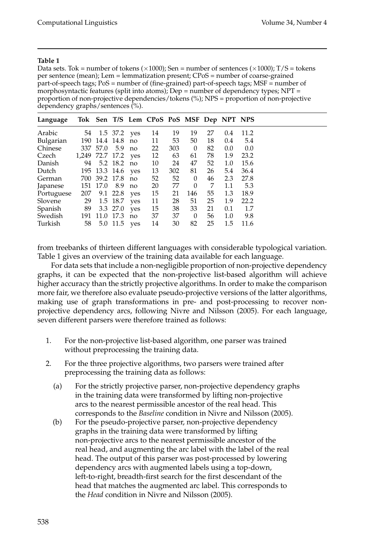#### **Table 1**

Data sets. Tok = number of tokens ( $\times$ 1000); Sen = number of sentences ( $\times$ 1000); T/S = tokens per sentence (mean); Lem = lemmatization present; CPoS = number of coarse-grained part-of-speech tags; PoS = number of (fine-grained) part-of-speech tags; MSF = number of morphosyntactic features (split into atoms); Dep = number of dependency types; NPT = proportion of non-projective dependencies/tokens (%); NPS = proportion of non-projective dependency graphs/sentences (%).

| Language   |                 |               |          |     | Tok Sen T/S Lem CPoS PoS MSF Dep NPT NPS |     |          |    |     |      |
|------------|-----------------|---------------|----------|-----|------------------------------------------|-----|----------|----|-----|------|
| Arabic     |                 | 54 1.5 37.2   |          | yes | 14                                       | 19  | 19       | 27 | 0.4 | 11.2 |
| Bulgarian  |                 | 190 14.4 14.8 |          | no  | 11                                       | 53  | 50       | 18 | 0.4 | 5.4  |
| Chinese    |                 | 337 57.0      | 5.9      | no  | 22                                       | 303 | $\theta$ | 82 | 0.0 | 0.0  |
| Czech      | 1,249 72.7 17.2 |               |          | yes | 12                                       | 63  | 61       | 78 | 1.9 | 23.2 |
| Danish     | 94              |               | 5.2 18.2 | no  | 10                                       | 24  | 47       | 52 | 1.0 | 15.6 |
| Dutch      |                 | 195 13.3 14.6 |          | yes | 13                                       | 302 | 81       | 26 | 5.4 | 36.4 |
| German     |                 | 700 39.2 17.8 |          | no  | 52                                       | 52  | $\theta$ | 46 | 2.3 | 27.8 |
| Japanese   |                 | 151 17.0      | 8.9      | no  | 20                                       | 77  | $\theta$ | 7  | 1.1 | 5.3  |
| Portuguese |                 | 207 9.1 22.8  |          | yes | 15                                       | 21  | 146      | 55 | 1.3 | 18.9 |
| Slovene    | 29              |               | 1.5 18.7 | yes | 11                                       | 28  | 51       | 25 | 1.9 | 22.2 |
| Spanish    | 89              |               | 3.3 27.0 | yes | 15                                       | 38  | 33       | 21 | 0.1 | 1.7  |
| Swedish    | 191             | 11.0 17.3     |          | no  | 37                                       | 37  | $\theta$ | 56 | 1.0 | 9.8  |
| Turkish    | 58              |               | 5.0 11.5 | yes | 14                                       | 30  | 82       | 25 | 1.5 | 11.6 |

from treebanks of thirteen different languages with considerable typological variation. Table 1 gives an overview of the training data available for each language.

For data sets that include a non-negligible proportion of non-projective dependency graphs, it can be expected that the non-projective list-based algorithm will achieve higher accuracy than the strictly projective algorithms. In order to make the comparison more fair, we therefore also evaluate pseudo-projective versions of the latter algorithms, making use of graph transformations in pre-and post-processing to recover nonprojective dependency arcs, following Nivre and Nilsson (2005). For each language, seven different parsers were therefore trained as follows:

- 1. For the non-projective list-based algorithm, one parser was trained without preprocessing the training data.
- 2. For the three projective algorithms, two parsers were trained after preprocessing the training data as follows:
	- (a) For the strictly projective parser, non-projective dependency graphs in the training data were transformed by lifting non-projective arcs to the nearest permissible ancestor of the real head. This corresponds to the *Baseline* condition in Nivre and Nilsson (2005).
	- (b) For the pseudo-projective parser, non-projective dependency graphs in the training data were transformed by lifting non-projective arcs to the nearest permissible ancestor of the real head, and augmenting the arc label with the label of the real head. The output of this parser was post-processed by lowering dependency arcs with augmented labels using a top-down, left-to-right, breadth-first search for the first descendant of the head that matches the augmented arc label. This corresponds to the *Head* condition in Nivre and Nilsson (2005).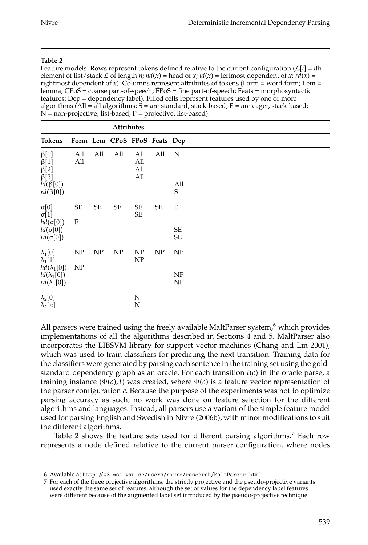#### **Table 2**

Feature models. Rows represent tokens defined relative to the current configuration  $(L[i] = i$ th element of list/stack  $\mathcal L$  of length *n*;  $hd(x)$  = head of *x*;  $ld(x)$  = leftmost dependent of *x*;  $rd(x)$  = rightmost dependent of *x*). Columns represent attributes of tokens (Form = word form; Lem = lemma;  $CPo\dot{S}$  = coarse part-of-speech;  $\dot{F}PoS$  = fine part-of-speech; Feats = morphosyntactic features; Dep = dependency label). Filled cells represent features used by one or more algorithms  $(AII = aII$  algorithms;  $S = arc$ -standard, stack-based;  $E = arc$ -eager, stack-based;  $N =$  non-projective, list-based;  $P =$  projective, list-based).

|                                                                           |            |           | <b>Attributes</b>            |                          |     |                        |
|---------------------------------------------------------------------------|------------|-----------|------------------------------|--------------------------|-----|------------------------|
| Tokens                                                                    |            |           | Form Lem CPoS FPoS Feats Dep |                          |     |                        |
| $\beta[0]$<br>$\beta$ [1]<br>$\beta$ [2]<br>$\beta$ [3]<br>$ld(\beta[0])$ | All<br>All | All       | All                          | All<br>All<br>All<br>All | All | N<br>All               |
| $rd(\beta[0])$                                                            |            |           |                              |                          |     | $\mathbf S$            |
| $\sigma[0]$<br>$\sigma[1]$<br>$hd(\sigma[0])$                             | SE<br>Ε    | <b>SE</b> | SE                           | SE<br>SE                 | SE  | E                      |
| $ld(\sigma[0])$<br>$rd(\sigma[0])$                                        |            |           |                              |                          |     | <b>SE</b><br><b>SE</b> |
| $\lambda_1[0]$<br>$\lambda_1[1]$                                          | NP         | NP        | NP                           | NP<br>NP                 | NP  | NP                     |
| $hd(\lambda_1[0])$<br>$ld(\lambda_1[0])$<br>$rd(\lambda_1[0])$            | NP         |           |                              |                          |     | NP<br>NP               |
| $\lambda_2[0]$<br>$\lambda_2[n]$                                          |            |           |                              | N<br>N                   |     |                        |

All parsers were trained using the freely available MaltParser system, $6$  which provides implementations of all the algorithms described in Sections 4 and 5. MaltParser also incorporates the LIBSVM library for support vector machines (Chang and Lin 2001), which was used to train classifiers for predicting the next transition. Training data for the classifiers were generated by parsing each sentence in the training set using the goldstandard dependency graph as an oracle. For each transition  $t(c)$  in the oracle parse, a training instance  $(\Phi(c), t)$  was created, where  $\Phi(c)$  is a feature vector representation of the parser configuration *c*. Because the purpose of the experiments was not to optimize parsing accuracy as such, no work was done on feature selection for the different algorithms and languages. Instead, all parsers use a variant of the simple feature model used for parsing English and Swedish in Nivre (2006b), with minor modifications to suit the different algorithms.

Table 2 shows the feature sets used for different parsing algorithms.<sup>7</sup> Each row represents a node defined relative to the current parser configuration, where nodes

<sup>6</sup> Available at http://w3.msi.vxu.se/users/nivre/research/MaltParser.html.

<sup>7</sup> For each of the three projective algorithms, the strictly projective and the pseudo-projective variants used exactly the same set of features, although the set of values for the dependency label features were different because of the augmented label set introduced by the pseudo-projective technique.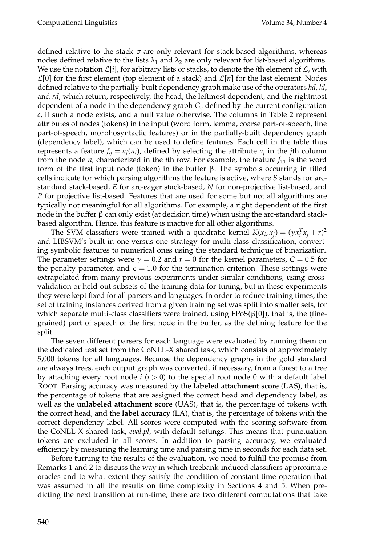defined relative to the stack  $\sigma$  are only relevant for stack-based algorithms, whereas nodes defined relative to the lists  $\lambda_1$  and  $\lambda_2$  are only relevant for list-based algorithms. We use the notation  $\mathcal{L}[i]$ , for arbitrary lists or stacks, to denote the *i*th element of  $\mathcal{L}$ , with  $\mathcal{L}[0]$  for the first element (top element of a stack) and  $\mathcal{L}[n]$  for the last element. Nodes defined relative to the partially-built dependency graph make use of the operators *hd*, *ld*, and *rd*, which return, respectively, the head, the leftmost dependent, and the rightmost dependent of a node in the dependency graph  $G_c$  defined by the current configuration *c*, if such a node exists, and a null value otherwise. The columns in Table 2 represent attributes of nodes (tokens) in the input (word form, lemma, coarse part-of-speech, fine part-of-speech, morphosyntactic features) or in the partially-built dependency graph (dependency label), which can be used to define features. Each cell in the table thus represents a feature  $f_{ij} = a_i(n_i)$ , defined by selecting the attribute  $a_i$  in the *j*th column from the node  $n_i$  characterized in the *i*th row. For example, the feature  $f_{11}$  is the word form of the first input node (token) in the buffer β. The symbols occurring in filled cells indicate for which parsing algorithms the feature is active, where *S* stands for arcstandard stack-based, *E* for arc-eager stack-based, *N* for non-projective list-based, and *P* for projective list-based. Features that are used for some but not all algorithms are typically not meaningful for all algorithms. For example, a right dependent of the first node in the buffer  $β$  can only exist (at decision time) when using the arc-standard stackbased algorithm. Hence, this feature is inactive for all other algorithms.

The SVM classifiers were trained with a quadratic kernel  $K(x_i, x_j) = (\gamma x_i^T x_j + r)^2$ and LIBSVM's built-in one-versus-one strategy for multi-class classification, converting symbolic features to numerical ones using the standard technique of binarization. The parameter settings were  $\gamma = 0.2$  and  $r = 0$  for the kernel parameters,  $C = 0.5$  for the penalty parameter, and  $\epsilon = 1.0$  for the termination criterion. These settings were extrapolated from many previous experiments under similar conditions, using crossvalidation or held-out subsets of the training data for tuning, but in these experiments they were kept fixed for all parsers and languages. In order to reduce training times, the set of training instances derived from a given training set was split into smaller sets, for which separate multi-class classifiers were trained, using  $FPos(\beta[0])$ , that is, the (finegrained) part of speech of the first node in the buffer, as the defining feature for the split.

The seven different parsers for each language were evaluated by running them on the dedicated test set from the CoNLL-X shared task, which consists of approximately 5,000 tokens for all languages. Because the dependency graphs in the gold standard are always trees, each output graph was converted, if necessary, from a forest to a tree by attaching every root node *i* (*i* > 0) to the special root node 0 with a default label ROOT. Parsing accuracy was measured by the **labeled attachment score** (LAS), that is, the percentage of tokens that are assigned the correct head and dependency label, as well as the **unlabeled attachment score** (UAS), that is, the percentage of tokens with the correct head, and the **label accuracy** (LA), that is, the percentage of tokens with the correct dependency label. All scores were computed with the scoring software from the CoNLL-X shared task, *eval.pl*, with default settings. This means that punctuation tokens are excluded in all scores. In addition to parsing accuracy, we evaluated efficiency by measuring the learning time and parsing time in seconds for each data set.

Before turning to the results of the evaluation, we need to fulfill the promise from Remarks 1 and 2 to discuss the way in which treebank-induced classifiers approximate oracles and to what extent they satisfy the condition of constant-time operation that was assumed in all the results on time complexity in Sections 4 and 5. When predicting the next transition at run-time, there are two different computations that take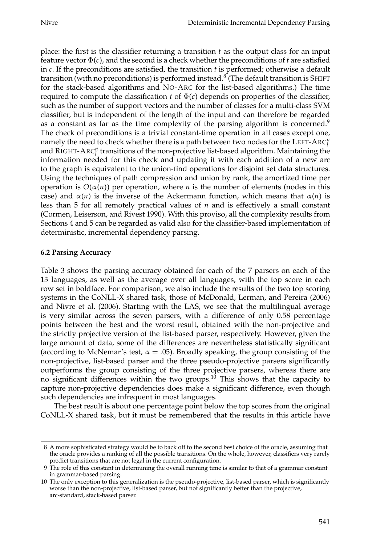place: the first is the classifier returning a transition *t* as the output class for an input feature vector  $\Phi(c)$ , and the second is a check whether the preconditions of *t* are satisfied in *c*. If the preconditions are satisfied, the transition *t* is performed; otherwise a default transition (with no preconditions) is performed instead.<sup>8</sup> (The default transition is SHIFT for the stack-based algorithms and NO-ARC for the list-based algorithms.) The time required to compute the classification *t* of  $\Phi(c)$  depends on properties of the classifier, such as the number of support vectors and the number of classes for a multi-class SVM classifier, but is independent of the length of the input and can therefore be regarded as a constant as far as the time complexity of the parsing algorithm is concerned. $9$ The check of preconditions is a trivial constant-time operation in all cases except one, namely the need to check whether there is a path between two nodes for the LEFT-ARC*<sup>n</sup> l* and RIGHT-ARC*<sup>n</sup> <sup>l</sup>* transitions of the non-projective list-based algorithm. Maintaining the information needed for this check and updating it with each addition of a new arc to the graph is equivalent to the union-find operations for disjoint set data structures. Using the techniques of path compression and union by rank, the amortized time per operation is  $O(\alpha(n))$  per operation, where *n* is the number of elements (nodes in this case) and  $\alpha(n)$  is the inverse of the Ackermann function, which means that  $\alpha(n)$  is less than 5 for all remotely practical values of *n* and is effectively a small constant (Cormen, Leiserson, and Rivest 1990). With this proviso, all the complexity results from Sections 4 and 5 can be regarded as valid also for the classifier-based implementation of deterministic, incremental dependency parsing.

### **6.2 Parsing Accuracy**

Table 3 shows the parsing accuracy obtained for each of the 7 parsers on each of the 13 languages, as well as the average over all languages, with the top score in each row set in boldface. For comparison, we also include the results of the two top scoring systems in the CoNLL-X shared task, those of McDonald, Lerman, and Pereira (2006) and Nivre et al. (2006). Starting with the LAS, we see that the multilingual average is very similar across the seven parsers, with a difference of only 0.58 percentage points between the best and the worst result, obtained with the non-projective and the strictly projective version of the list-based parser, respectively. However, given the large amount of data, some of the differences are nevertheless statistically significant (according to McNemar's test,  $\alpha = .05$ ). Broadly speaking, the group consisting of the non-projective, list-based parser and the three pseudo-projective parsers significantly outperforms the group consisting of the three projective parsers, whereas there are no significant differences within the two groups.<sup>10</sup> This shows that the capacity to capture non-projective dependencies does make a significant difference, even though such dependencies are infrequent in most languages.

The best result is about one percentage point below the top scores from the original CoNLL-X shared task, but it must be remembered that the results in this article have

<sup>8</sup> A more sophisticated strategy would be to back off to the second best choice of the oracle, assuming that the oracle provides a ranking of all the possible transitions. On the whole, however, classifiers very rarely predict transitions that are not legal in the current configuration.

<sup>9</sup> The role of this constant in determining the overall running time is similar to that of a grammar constant in grammar-based parsing.

<sup>10</sup> The only exception to this generalization is the pseudo-projective, list-based parser, which is significantly worse than the non-projective, list-based parser, but not significantly better than the projective, arc-standard, stack-based parser.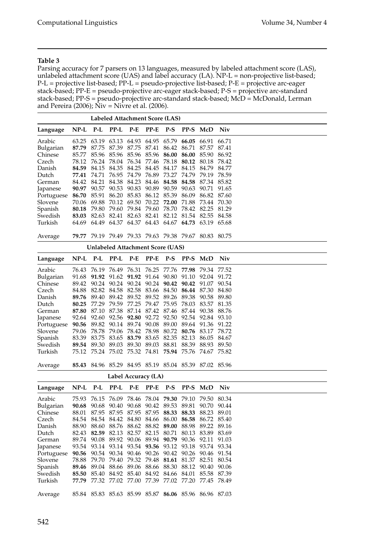#### **Table 3**

Parsing accuracy for 7 parsers on 13 languages, measured by labeled attachment score (LAS), unlabeled attachment score (UAS) and label accuracy (LA). NP-L = non-projective list-based; P-L = projective list-based; PP-L = pseudo-projective list-based; P-E = projective arc-eager stack-based; PP-E = pseudo-projective arc-eager stack-based; P-S = projective arc-standard stack-based;  $PP-S =$  pseudo-projective arc-standard stack-based;  $\text{McD} = \text{McDonald}$ , Lerman and Pereira (2006);  $\text{Niv} = \text{Nivre}$  et al. (2006).

|                                  |        |       |                   |             | Labeled Attachment Score (LAS)                        |                   |                   |                   |       |  |
|----------------------------------|--------|-------|-------------------|-------------|-------------------------------------------------------|-------------------|-------------------|-------------------|-------|--|
| Language                         | $NP-L$ | P-L   | PP-L              | P-E         | $PP-E$                                                | $P-S$             |                   | PP-S McD          | Niv   |  |
| Arabic                           | 63.25  | 63.19 | 63.13             | 64.93       | 64.95                                                 | 65.79             | 66.05             | 66.91             | 66.71 |  |
| Bulgarian                        | 87.79  | 87.75 | 87.39             | 87.75       | 87.41                                                 | 86.42             | 86.71             | 87.57             | 87.41 |  |
| Chinese                          | 85.77  | 85.96 | 85.96             | 85.96       | 85.96                                                 | 86.00             | 86.00             | 85.90             | 86.92 |  |
| Czech                            | 78.12  |       | 76.24 78.04       | 76.34       | 77.46                                                 | 78.18             | 80.12 80.18       |                   | 78.42 |  |
| Danish                           | 84.59  | 84.15 | 84.35             | 84.25       | 84.45                                                 | 84.17             | 84.15             | 84.79             | 84.77 |  |
| Dutch                            | 77.41  | 74.71 | 76.95             | 74.79       | 76.89                                                 | 73.27             | 74.79             | 79.19             | 78.59 |  |
| German                           | 84.42  | 84.21 | 84.38             | 84.23       | 84.46                                                 | 84.58             | 84.58             | 87.34             | 85.82 |  |
| Japanese                         | 90.97  | 90.57 | 90.53             | 90.83       |                                                       | 90.89 90.59       | 90.63             | 90.71             | 91.65 |  |
| Portuguese                       | 86.70  | 85.91 |                   | 86.20 85.83 |                                                       | 86.12 85.39 86.09 |                   | 86.82             | 87.60 |  |
| Slovene                          | 70.06  | 69.88 | 70.12             | 69.50       | 70.22                                                 | 72.00             | 71.88             | 73.44             | 70.30 |  |
| Spanish                          | 80.18  | 79.80 |                   | 79.60 79.84 | 79.60 78.70 78.42 82.25 81.29                         |                   |                   |                   |       |  |
| Swedish                          | 83.03  |       | 82.63 82.41 82.63 |             |                                                       |                   | 82.41 82.12 81.54 | 82.55             | 84.58 |  |
| Turkish                          | 64.69  | 64.49 | 64.37             | 64.37       | 64.43                                                 | 64.67             | 64.73             | 63.19             | 65.68 |  |
| Average                          | 79.77  |       |                   |             | 79.19 79.49 79.33 79.63 79.38 79.67                   |                   |                   | 80.83             | 80.75 |  |
| Unlabeled Attachment Score (UAS) |        |       |                   |             |                                                       |                   |                   |                   |       |  |
| Language                         | NP-L   | P-L   | PP-L              | P-E         | PP-E                                                  | P-S               | PP-S              | McD               | Niv   |  |
| Arabic                           | 76.43  | 76.19 | 76.49             | 76.31       | 76.25                                                 | 77.76             | 77.98             | 79.34             | 77.52 |  |
| Bulgarian                        | 91.68  | 91.92 | 91.62             | 91.92       | 91.64                                                 | 90.80             | 91.10             | 92.04             | 91.72 |  |
| Chinese                          | 89.42  | 90.24 | 90.24             | 90.24       |                                                       | 90.24 90.42 90.42 |                   | 91.07             | 90.54 |  |
| Czech                            | 84.88  |       | 82.82 84.58 82.58 |             |                                                       | 83.66 84.50       |                   | 86.44 87.30 84.80 |       |  |
| Danish                           | 89.76  | 89.40 | 89.42 89.52       |             |                                                       | 89.52 89.26       | 89.38             | 90.58             | 89.80 |  |
| Dutch                            | 80.25  | 77.29 | 79.59             | 77.25       | 79.47                                                 | 75.95             | 78.03             | 83.57             | 81.35 |  |
| German                           | 87.80  |       |                   |             | 87.10 87.38 87.14 87.42 87.46                         |                   | 87.44             | 90.38             | 88.76 |  |
| Japanese                         | 92.64  |       | 92.60 92.56       | 92.80       |                                                       | 92.72 92.50       | 92.54             | 92.84             | 93.10 |  |
| Portuguese                       | 90.56  |       | 89.82 90.14       | 89.74       |                                                       | 90.08 89.00 89.64 |                   | 91.36             | 91.22 |  |
| Slovene                          | 79.06  | 78.78 | 79.06             | 78.42       |                                                       | 78.98 80.72       | 80.76             | 83.17             | 78.72 |  |
| Spanish                          | 83.39  | 83.75 | 83.65             | 83.79       |                                                       | 83.65 82.35       | 82.13             | 86.05             | 84.67 |  |
| Swedish                          | 89.54  | 89.30 |                   | 89.03 89.30 | 89.03                                                 | 88.81             | 88.39             | 88.93             | 89.50 |  |
| Turkish                          | 75.12  | 75.24 |                   | 75.02 75.32 | 74.81                                                 |                   | 75.94 75.76       | 74.67             | 75.82 |  |
| Average                          | 85.43  |       |                   |             | 84.96 85.29 84.95 85.19 85.04 85.39 87.02 85.96       |                   |                   |                   |       |  |
|                                  |        |       |                   |             | Label Accuracy (LA)                                   |                   |                   |                   |       |  |
| Language                         | NP-L   | $P-L$ | PP-L              | P-E         | PP-E                                                  | $P-S$             | PP-S              | McD               | Niv   |  |
| Arabic                           | 75.93  | 76.15 | 76.09             | 78.46       | 78.04                                                 | 79.30             | 79.10             | 79.50             | 80.34 |  |
| Bulgarian                        | 90.68  | 90.68 | 90.40             | 90.68       | 90.42                                                 | 89.53             | 89.81             | 90.70             | 90.44 |  |
| Chinese                          | 88.01  |       | 87.95 87.95       | 87.95       | 87.95                                                 | 88.33             | 88.33             | 88.23             | 89.01 |  |
| Czech                            | 84.54  |       |                   |             | 84.54 84.42 84.80 84.66 86.00 86.58                   |                   |                   | 86.72             | 85.40 |  |
| Danish                           | 88.90  | 88.60 | 88.76             | 88.62       | 88.82                                                 | 89.00             | 88.98             | 89.22             | 89.16 |  |
| Dutch                            | 82.43  | 82.59 | 82.13             | 82.57       | 82.15                                                 | 80.71             | 80.13             | 83.89             | 83.69 |  |
| German                           | 89.74  |       | 90.08 89.92       | 90.06       | 89.94                                                 | 90.79             | 90.36             | 92.11             | 91.03 |  |
| Japanese                         | 93.54  |       | 93.14 93.14       | 93.54       | 93.56                                                 | 93.12             | 93.18             | 93.74             | 93.34 |  |
| Portuguese                       | 90.56  |       | 90.54 90.34       | 90.46       | 90.26                                                 | 90.42 90.26       |                   | 90.46             | 91.54 |  |
| Slovene                          | 78.88  | 79.70 | 79.40             | 79.32       |                                                       | 79.48 81.61 81.37 |                   | 82.51             | 80.54 |  |
| Spanish                          | 89.46  |       | 89.04 88.66 89.06 |             |                                                       | 88.66 88.30 88.12 |                   | 90.40             | 90.06 |  |
| Swedish                          | 85.50  | 85.40 | 84.92             | 85.40       | 84.92                                                 | 84.66             | 84.01             | 85.58             | 87.39 |  |
| Turkish                          | 77.79  | 77.32 | 77.02             | 77.00       | 77.39                                                 |                   | 77.02 77.20       | 77.45             | 78.49 |  |
| Average                          |        |       |                   |             | 85.84 85.83 85.63 85.99 85.87 86.06 85.96 86.96 87.03 |                   |                   |                   |       |  |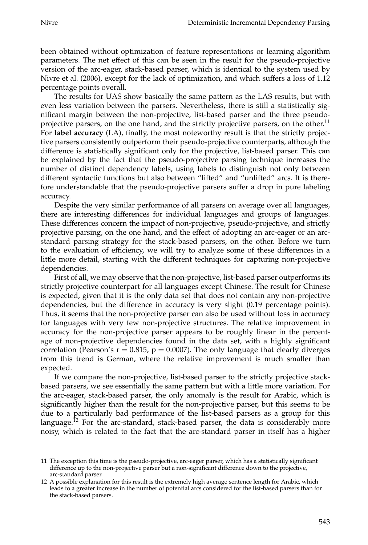been obtained without optimization of feature representations or learning algorithm parameters. The net effect of this can be seen in the result for the pseudo-projective version of the arc-eager, stack-based parser, which is identical to the system used by Nivre et al. (2006), except for the lack of optimization, and which suffers a loss of 1.12 percentage points overall.

The results for UAS show basically the same pattern as the LAS results, but with even less variation between the parsers. Nevertheless, there is still a statistically significant margin between the non-projective, list-based parser and the three pseudoprojective parsers, on the one hand, and the strictly projective parsers, on the other.<sup>11</sup> For **label accuracy** (LA), finally, the most noteworthy result is that the strictly projective parsers consistently outperform their pseudo-projective counterparts, although the difference is statistically significant only for the projective, list-based parser. This can be explained by the fact that the pseudo-projective parsing technique increases the number of distinct dependency labels, using labels to distinguish not only between different syntactic functions but also between "lifted" and "unlifted" arcs. It is therefore understandable that the pseudo-projective parsers suffer a drop in pure labeling accuracy.

Despite the very similar performance of all parsers on average over all languages, there are interesting differences for individual languages and groups of languages. These differences concern the impact of non-projective, pseudo-projective, and strictly projective parsing, on the one hand, and the effect of adopting an arc-eager or an arcstandard parsing strategy for the stack-based parsers, on the other. Before we turn to the evaluation of efficiency, we will try to analyze some of these differences in a little more detail, starting with the different techniques for capturing non-projective dependencies.

First of all, we may observe that the non-projective, list-based parser outperforms its strictly projective counterpart for all languages except Chinese. The result for Chinese is expected, given that it is the only data set that does not contain any non-projective dependencies, but the difference in accuracy is very slight (0.19 percentage points). Thus, it seems that the non-projective parser can also be used without loss in accuracy for languages with very few non-projective structures. The relative improvement in accuracy for the non-projective parser appears to be roughly linear in the percentage of non-projective dependencies found in the data set, with a highly significant correlation (Pearson's  $r = 0.815$ ,  $p = 0.0007$ ). The only language that clearly diverges from this trend is German, where the relative improvement is much smaller than expected.

If we compare the non-projective, list-based parser to the strictly projective stackbased parsers, we see essentially the same pattern but with a little more variation. For the arc-eager, stack-based parser, the only anomaly is the result for Arabic, which is significantly higher than the result for the non-projective parser, but this seems to be due to a particularly bad performance of the list-based parsers as a group for this language.<sup> $12$ </sup> For the arc-standard, stack-based parser, the data is considerably more noisy, which is related to the fact that the arc-standard parser in itself has a higher

<sup>11</sup> The exception this time is the pseudo-projective, arc-eager parser, which has a statistically significant difference up to the non-projective parser but a non-significant difference down to the projective, arc-standard parser.

<sup>12</sup> A possible explanation for this result is the extremely high average sentence length for Arabic, which leads to a greater increase in the number of potential arcs considered for the list-based parsers than for the stack-based parsers.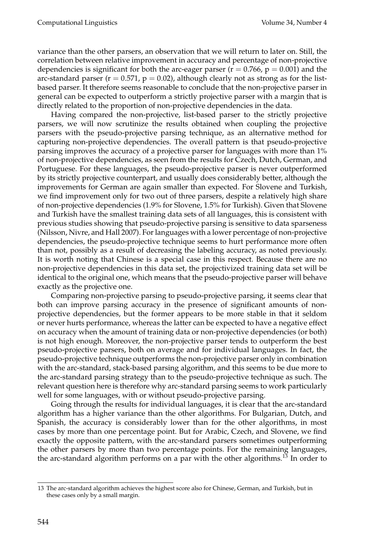variance than the other parsers, an observation that we will return to later on. Still, the correlation between relative improvement in accuracy and percentage of non-projective dependencies is significant for both the arc-eager parser ( $r = 0.766$ ,  $p = 0.001$ ) and the arc-standard parser ( $r = 0.571$ ,  $p = 0.02$ ), although clearly not as strong as for the listbased parser. It therefore seems reasonable to conclude that the non-projective parser in general can be expected to outperform a strictly projective parser with a margin that is directly related to the proportion of non-projective dependencies in the data.

Having compared the non-projective, list-based parser to the strictly projective parsers, we will now scrutinize the results obtained when coupling the projective parsers with the pseudo-projective parsing technique, as an alternative method for capturing non-projective dependencies. The overall pattern is that pseudo-projective parsing improves the accuracy of a projective parser for languages with more than 1% of non-projective dependencies, as seen from the results for Czech, Dutch, German, and Portuguese. For these languages, the pseudo-projective parser is never outperformed by its strictly projective counterpart, and usually does considerably better, although the improvements for German are again smaller than expected. For Slovene and Turkish, we find improvement only for two out of three parsers, despite a relatively high share of non-projective dependencies (1.9% for Slovene, 1.5% for Turkish). Given that Slovene and Turkish have the smallest training data sets of all languages, this is consistent with previous studies showing that pseudo-projective parsing is sensitive to data sparseness (Nilsson, Nivre, and Hall 2007). For languages with a lower percentage of non-projective dependencies, the pseudo-projective technique seems to hurt performance more often than not, possibly as a result of decreasing the labeling accuracy, as noted previously. It is worth noting that Chinese is a special case in this respect. Because there are no non-projective dependencies in this data set, the projectivized training data set will be identical to the original one, which means that the pseudo-projective parser will behave exactly as the projective one.

Comparing non-projective parsing to pseudo-projective parsing, it seems clear that both can improve parsing accuracy in the presence of significant amounts of nonprojective dependencies, but the former appears to be more stable in that it seldom or never hurts performance, whereas the latter can be expected to have a negative effect on accuracy when the amount of training data or non-projective dependencies (or both) is not high enough. Moreover, the non-projective parser tends to outperform the best pseudo-projective parsers, both on average and for individual languages. In fact, the pseudo-projective technique outperforms the non-projective parser only in combination with the arc-standard, stack-based parsing algorithm, and this seems to be due more to the arc-standard parsing strategy than to the pseudo-projective technique as such. The relevant question here is therefore why arc-standard parsing seems to work particularly well for some languages, with or without pseudo-projective parsing.

Going through the results for individual languages, it is clear that the arc-standard algorithm has a higher variance than the other algorithms. For Bulgarian, Dutch, and Spanish, the accuracy is considerably lower than for the other algorithms, in most cases by more than one percentage point. But for Arabic, Czech, and Slovene, we find exactly the opposite pattern, with the arc-standard parsers sometimes outperforming the other parsers by more than two percentage points. For the remaining languages, the arc-standard algorithm performs on a par with the other algorithms.<sup>13</sup> In order to

<sup>13</sup> The arc-standard algorithm achieves the highest score also for Chinese, German, and Turkish, but in these cases only by a small margin.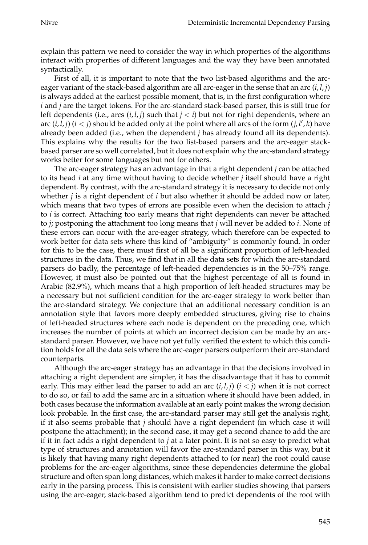explain this pattern we need to consider the way in which properties of the algorithms interact with properties of different languages and the way they have been annotated syntactically.

First of all, it is important to note that the two list-based algorithms and the arceager variant of the stack-based algorithm are all arc-eager in the sense that an arc (*i*, *l*, *j*) is always added at the earliest possible moment, that is, in the first configuration where *i* and *j* are the target tokens. For the arc-standard stack-based parser, this is still true for left dependents (i.e., arcs  $(i, l, j)$  such that  $j < i$ ) but not for right dependents, where an arc  $(i, l, j)$   $(i < j)$  should be added only at the point where all arcs of the form  $(j, l', k)$  have already been added (i.e., when the dependent *j* has already found all its dependents). This explains why the results for the two list-based parsers and the arc-eager stackbased parser are so well correlated, but it does not explain why the arc-standard strategy works better for some languages but not for others.

The arc-eager strategy has an advantage in that a right dependent *j* can be attached to its head *i* at any time without having to decide whether *j* itself should have a right dependent. By contrast, with the arc-standard strategy it is necessary to decide not only whether *j* is a right dependent of *i* but also whether it should be added now or later, which means that two types of errors are possible even when the decision to attach *j* to *i* is correct. Attaching too early means that right dependents can never be attached to *j*; postponing the attachment too long means that *j* will never be added to *i*. None of these errors can occur with the arc-eager strategy, which therefore can be expected to work better for data sets where this kind of "ambiguity" is commonly found. In order for this to be the case, there must first of all be a significant proportion of left-headed structures in the data. Thus, we find that in all the data sets for which the arc-standard parsers do badly, the percentage of left-headed dependencies is in the 50–75% range. However, it must also be pointed out that the highest percentage of all is found in Arabic (82.9%), which means that a high proportion of left-headed structures may be a necessary but not sufficient condition for the arc-eager strategy to work better than the arc-standard strategy. We conjecture that an additional necessary condition is an annotation style that favors more deeply embedded structures, giving rise to chains of left-headed structures where each node is dependent on the preceding one, which increases the number of points at which an incorrect decision can be made by an arcstandard parser. However, we have not yet fully verified the extent to which this condition holds for all the data sets where the arc-eager parsers outperform their arc-standard counterparts.

Although the arc-eager strategy has an advantage in that the decisions involved in attaching a right dependent are simpler, it has the disadvantage that it has to commit early. This may either lead the parser to add an arc  $(i, l, j)$   $(i < j)$  when it is not correct to do so, or fail to add the same arc in a situation where it should have been added, in both cases because the information available at an early point makes the wrong decision look probable. In the first case, the arc-standard parser may still get the analysis right, if it also seems probable that *j* should have a right dependent (in which case it will postpone the attachment); in the second case, it may get a second chance to add the arc if it in fact adds a right dependent to *j* at a later point. It is not so easy to predict what type of structures and annotation will favor the arc-standard parser in this way, but it is likely that having many right dependents attached to (or near) the root could cause problems for the arc-eager algorithms, since these dependencies determine the global structure and often span long distances, which makes it harder to make correct decisions early in the parsing process. This is consistent with earlier studies showing that parsers using the arc-eager, stack-based algorithm tend to predict dependents of the root with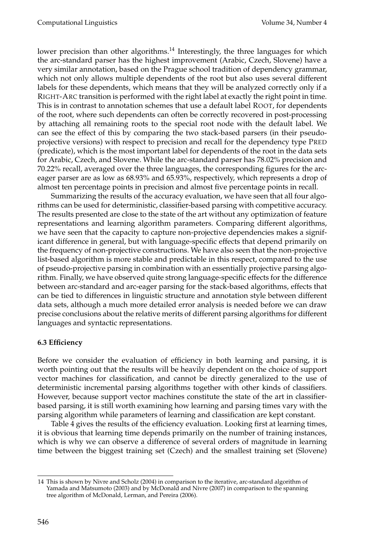lower precision than other algorithms.<sup>14</sup> Interestingly, the three languages for which the arc-standard parser has the highest improvement (Arabic, Czech, Slovene) have a very similar annotation, based on the Prague school tradition of dependency grammar, which not only allows multiple dependents of the root but also uses several different labels for these dependents, which means that they will be analyzed correctly only if a RIGHT-ARC transition is performed with the right label at exactly the right point in time. This is in contrast to annotation schemes that use a default label ROOT, for dependents of the root, where such dependents can often be correctly recovered in post-processing by attaching all remaining roots to the special root node with the default label. We can see the effect of this by comparing the two stack-based parsers (in their pseudoprojective versions) with respect to precision and recall for the dependency type PRED (predicate), which is the most important label for dependents of the root in the data sets for Arabic, Czech, and Slovene. While the arc-standard parser has 78.02% precision and 70.22% recall, averaged over the three languages, the corresponding figures for the arceager parser are as low as 68.93% and 65.93%, respectively, which represents a drop of almost ten percentage points in precision and almost five percentage points in recall.

Summarizing the results of the accuracy evaluation, we have seen that all four algorithms can be used for deterministic, classifier-based parsing with competitive accuracy. The results presented are close to the state of the art without any optimization of feature representations and learning algorithm parameters. Comparing different algorithms, we have seen that the capacity to capture non-projective dependencies makes a significant difference in general, but with language-specific effects that depend primarily on the frequency of non-projective constructions. We have also seen that the non-projective list-based algorithm is more stable and predictable in this respect, compared to the use of pseudo-projective parsing in combination with an essentially projective parsing algorithm. Finally, we have observed quite strong language-specific effects for the difference between arc-standard and arc-eager parsing for the stack-based algorithms, effects that can be tied to differences in linguistic structure and annotation style between different data sets, although a much more detailed error analysis is needed before we can draw precise conclusions about the relative merits of different parsing algorithms for different languages and syntactic representations.

## **6.3 Efficiency**

Before we consider the evaluation of efficiency in both learning and parsing, it is worth pointing out that the results will be heavily dependent on the choice of support vector machines for classification, and cannot be directly generalized to the use of deterministic incremental parsing algorithms together with other kinds of classifiers. However, because support vector machines constitute the state of the art in classifierbased parsing, it is still worth examining how learning and parsing times vary with the parsing algorithm while parameters of learning and classification are kept constant.

Table 4 gives the results of the efficiency evaluation. Looking first at learning times, it is obvious that learning time depends primarily on the number of training instances, which is why we can observe a difference of several orders of magnitude in learning time between the biggest training set (Czech) and the smallest training set (Slovene)

<sup>14</sup> This is shown by Nivre and Scholz (2004) in comparison to the iterative, arc-standard algorithm of Yamada and Matsumoto (2003) and by McDonald and Nivre (2007) in comparison to the spanning tree algorithm of McDonald, Lerman, and Pereira (2006).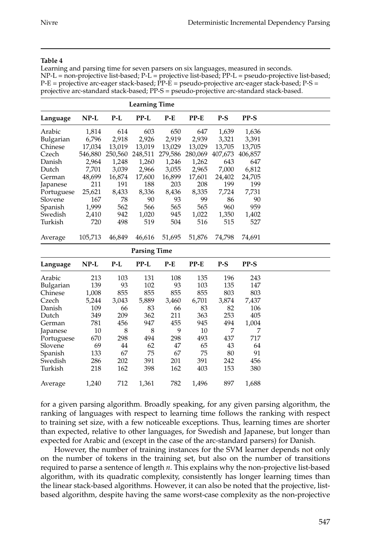#### **Table 4**

Learning and parsing time for seven parsers on six languages, measured in seconds. NP-L = non-projective list-based; P-L = projective list-based; PP-L = pseudo-projective list-based; P-E = projective arc-eager stack-based; PP-E = pseudo-projective arc-eager stack-based; P-S = projective arc-standard stack-based; PP-S = pseudo-projective arc-standard stack-based.

| <b>Learning Time</b> |         |         |                     |         |         |         |         |  |
|----------------------|---------|---------|---------------------|---------|---------|---------|---------|--|
| Language             | $NP-L$  | $P-L$   | PP-L                | $P-E$   | PP-E    | $P-S$   | PP-S    |  |
| Arabic               | 1,814   | 614     | 603                 | 650     | 647     | 1,639   | 1,636   |  |
| Bulgarian            | 6,796   | 2,918   | 2,926               | 2,919   | 2,939   | 3,321   | 3,391   |  |
| Chinese              | 17,034  | 13,019  | 13,019              | 13,029  | 13,029  | 13,705  | 13,705  |  |
| Czech                | 546,880 | 250,560 | 248,511             | 279,586 | 280,069 | 407,673 | 406,857 |  |
| Danish               | 2,964   | 1,248   | 1,260               | 1,246   | 1,262   | 643     | 647     |  |
| Dutch                | 7,701   | 3,039   | 2,966               | 3,055   | 2,965   | 7,000   | 6,812   |  |
| German               | 48,699  | 16,874  | 17,600              | 16,899  | 17,601  | 24,402  | 24,705  |  |
| Japanese             | 211     | 191     | 188                 | 203     | 208     | 199     | 199     |  |
| Portuguese           | 25,621  | 8,433   | 8,336               | 8,436   | 8,335   | 7,724   | 7,731   |  |
| Slovene              | 167     | 78      | 90                  | 93      | 99      | 86      | 90      |  |
| Spanish              | 1,999   | 562     | 566                 | 565     | 565     | 960     | 959     |  |
| Swedish              | 2,410   | 942     | 1,020               | 945     | 1,022   | 1,350   | 1,402   |  |
| Turkish              | 720     | 498     | 519                 | 504     | 516     | 515     | 527     |  |
| Average              | 105,713 | 46,849  | 46,616              | 51,695  | 51,876  | 74,798  | 74,691  |  |
|                      |         |         | <b>Parsing Time</b> |         |         |         |         |  |
|                      |         |         |                     |         |         |         |         |  |

| Language   | $NP-L$ | $P-L$ | $PP-L$ | $P-E$ | PP-E  | $P-S$ | PP-S  |
|------------|--------|-------|--------|-------|-------|-------|-------|
| Arabic     | 213    | 103   | 131    | 108   | 135   | 196   | 243   |
| Bulgarian  | 139    | 93    | 102    | 93    | 103   | 135   | 147   |
| Chinese    | 1,008  | 855   | 855    | 855   | 855   | 803   | 803   |
| Czech      | 5,244  | 3,043 | 5,889  | 3,460 | 6,701 | 3,874 | 7,437 |
| Danish     | 109    | 66    | 83     | 66    | 83    | 82    | 106   |
| Dutch      | 349    | 209   | 362    | 211   | 363   | 253   | 405   |
| German     | 781    | 456   | 947    | 455   | 945   | 494   | 1,004 |
| Japanese   | 10     | 8     | 8      | 9     | 10    | 7     | 7     |
| Portuguese | 670    | 298   | 494    | 298   | 493   | 437   | 717   |
| Slovene    | 69     | 44    | 62     | 47    | 65    | 43    | 64    |
| Spanish    | 133    | 67    | 75     | 67    | 75    | 80    | 91    |
| Swedish    | 286    | 202   | 391    | 201   | 391   | 242   | 456   |
| Turkish    | 218    | 162   | 398    | 162   | 403   | 153   | 380   |
| Average    | 1,240  | 712   | 1,361  | 782   | 1,496 | 897   | 1,688 |

for a given parsing algorithm. Broadly speaking, for any given parsing algorithm, the ranking of languages with respect to learning time follows the ranking with respect to training set size, with a few noticeable exceptions. Thus, learning times are shorter than expected, relative to other languages, for Swedish and Japanese, but longer than expected for Arabic and (except in the case of the arc-standard parsers) for Danish.

However, the number of training instances for the SVM learner depends not only on the number of tokens in the training set, but also on the number of transitions required to parse a sentence of length *n*. This explains why the non-projective list-based algorithm, with its quadratic complexity, consistently has longer learning times than the linear stack-based algorithms. However, it can also be noted that the projective, listbased algorithm, despite having the same worst-case complexity as the non-projective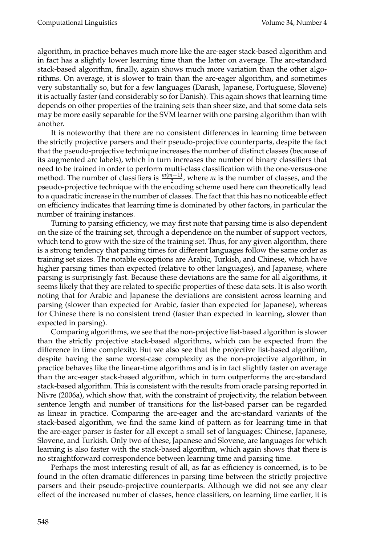algorithm, in practice behaves much more like the arc-eager stack-based algorithm and in fact has a slightly lower learning time than the latter on average. The arc-standard stack-based algorithm, finally, again shows much more variation than the other algorithms. On average, it is slower to train than the arc-eager algorithm, and sometimes very substantially so, but for a few languages (Danish, Japanese, Portuguese, Slovene) it is actually faster (and considerably so for Danish). This again shows that learning time depends on other properties of the training sets than sheer size, and that some data sets may be more easily separable for the SVM learner with one parsing algorithm than with another.

It is noteworthy that there are no consistent differences in learning time between the strictly projective parsers and their pseudo-projective counterparts, despite the fact that the pseudo-projective technique increases the number of distinct classes (because of its augmented arc labels), which in turn increases the number of binary classifiers that need to be trained in order to perform multi-class classification with the one-versus-one method. The number of classifiers is  $\frac{m(m-1)}{2}$ , where *m* is the number of classes, and the pseudo-projective technique with the encoding scheme used here can theoretically lead to a quadratic increase in the number of classes. The fact that this has no noticeable effect on efficiency indicates that learning time is dominated by other factors, in particular the number of training instances.

Turning to parsing efficiency, we may first note that parsing time is also dependent on the size of the training set, through a dependence on the number of support vectors, which tend to grow with the size of the training set. Thus, for any given algorithm, there is a strong tendency that parsing times for different languages follow the same order as training set sizes. The notable exceptions are Arabic, Turkish, and Chinese, which have higher parsing times than expected (relative to other languages), and Japanese, where parsing is surprisingly fast. Because these deviations are the same for all algorithms, it seems likely that they are related to specific properties of these data sets. It is also worth noting that for Arabic and Japanese the deviations are consistent across learning and parsing (slower than expected for Arabic, faster than expected for Japanese), whereas for Chinese there is no consistent trend (faster than expected in learning, slower than expected in parsing).

Comparing algorithms, we see that the non-projective list-based algorithm is slower than the strictly projective stack-based algorithms, which can be expected from the difference in time complexity. But we also see that the projective list-based algorithm, despite having the same worst-case complexity as the non-projective algorithm, in practice behaves like the linear-time algorithms and is in fact slightly faster on average than the arc-eager stack-based algorithm, which in turn outperforms the arc-standard stack-based algorithm. This is consistent with the results from oracle parsing reported in Nivre (2006a), which show that, with the constraint of projectivity, the relation between sentence length and number of transitions for the list-based parser can be regarded as linear in practice. Comparing the arc-eager and the arc-standard variants of the stack-based algorithm, we find the same kind of pattern as for learning time in that the arc-eager parser is faster for all except a small set of languages: Chinese, Japanese, Slovene, and Turkish. Only two of these, Japanese and Slovene, are languages for which learning is also faster with the stack-based algorithm, which again shows that there is no straightforward correspondence between learning time and parsing time.

Perhaps the most interesting result of all, as far as efficiency is concerned, is to be found in the often dramatic differences in parsing time between the strictly projective parsers and their pseudo-projective counterparts. Although we did not see any clear effect of the increased number of classes, hence classifiers, on learning time earlier, it is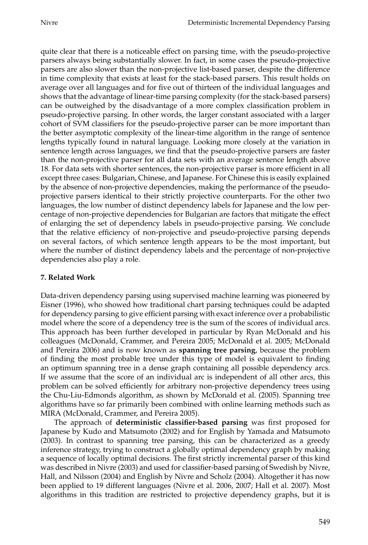quite clear that there is a noticeable effect on parsing time, with the pseudo-projective parsers always being substantially slower. In fact, in some cases the pseudo-projective parsers are also slower than the non-projective list-based parser, despite the difference in time complexity that exists at least for the stack-based parsers. This result holds on average over all languages and for five out of thirteen of the individual languages and shows that the advantage of linear-time parsing complexity (for the stack-based parsers) can be outweighed by the disadvantage of a more complex classification problem in pseudo-projective parsing. In other words, the larger constant associated with a larger cohort of SVM classifiers for the pseudo-projective parser can be more important than the better asymptotic complexity of the linear-time algorithm in the range of sentence lengths typically found in natural language. Looking more closely at the variation in sentence length across languages, we find that the pseudo-projective parsers are faster than the non-projective parser for all data sets with an average sentence length above 18. For data sets with shorter sentences, the non-projective parser is more efficient in all except three cases: Bulgarian, Chinese, and Japanese. For Chinese this is easily explained by the absence of non-projective dependencies, making the performance of the pseudoprojective parsers identical to their strictly projective counterparts. For the other two languages, the low number of distinct dependency labels for Japanese and the low percentage of non-projective dependencies for Bulgarian are factors that mitigate the effect of enlarging the set of dependency labels in pseudo-projective parsing. We conclude that the relative efficiency of non-projective and pseudo-projective parsing depends on several factors, of which sentence length appears to be the most important, but where the number of distinct dependency labels and the percentage of non-projective dependencies also play a role.

## **7. Related Work**

Data-driven dependency parsing using supervised machine learning was pioneered by Eisner (1996), who showed how traditional chart parsing techniques could be adapted for dependency parsing to give efficient parsing with exact inference over a probabilistic model where the score of a dependency tree is the sum of the scores of individual arcs. This approach has been further developed in particular by Ryan McDonald and his colleagues (McDonald, Crammer, and Pereira 2005; McDonald et al. 2005; McDonald and Pereira 2006) and is now known as **spanning tree parsing**, because the problem of finding the most probable tree under this type of model is equivalent to finding an optimum spanning tree in a dense graph containing all possible dependency arcs. If we assume that the score of an individual arc is independent of all other arcs, this problem can be solved efficiently for arbitrary non-projective dependency trees using the Chu-Liu-Edmonds algorithm, as shown by McDonald et al. (2005). Spanning tree algorithms have so far primarily been combined with online learning methods such as MIRA (McDonald, Crammer, and Pereira 2005).

The approach of **deterministic classifier-based parsing** was first proposed for Japanese by Kudo and Matsumoto (2002) and for English by Yamada and Matsumoto (2003). In contrast to spanning tree parsing, this can be characterized as a greedy inference strategy, trying to construct a globally optimal dependency graph by making a sequence of locally optimal decisions. The first strictly incremental parser of this kind was described in Nivre (2003) and used for classifier-based parsing of Swedish by Nivre, Hall, and Nilsson (2004) and English by Nivre and Scholz (2004). Altogether it has now been applied to 19 different languages (Nivre et al. 2006, 2007; Hall et al. 2007). Most algorithms in this tradition are restricted to projective dependency graphs, but it is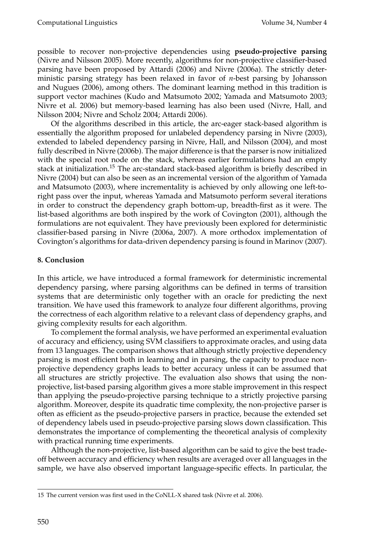possible to recover non-projective dependencies using **pseudo-projective parsing** (Nivre and Nilsson 2005). More recently, algorithms for non-projective classifier-based parsing have been proposed by Attardi (2006) and Nivre (2006a). The strictly deterministic parsing strategy has been relaxed in favor of *n*-best parsing by Johansson and Nugues (2006), among others. The dominant learning method in this tradition is support vector machines (Kudo and Matsumoto 2002; Yamada and Matsumoto 2003; Nivre et al. 2006) but memory-based learning has also been used (Nivre, Hall, and Nilsson 2004; Nivre and Scholz 2004; Attardi 2006).

Of the algorithms described in this article, the arc-eager stack-based algorithm is essentially the algorithm proposed for unlabeled dependency parsing in Nivre (2003), extended to labeled dependency parsing in Nivre, Hall, and Nilsson (2004), and most fully described in Nivre (2006b). The major difference is that the parser is now initialized with the special root node on the stack, whereas earlier formulations had an empty stack at initialization.<sup>15</sup> The arc-standard stack-based algorithm is briefly described in Nivre (2004) but can also be seen as an incremental version of the algorithm of Yamada and Matsumoto (2003), where incrementality is achieved by only allowing one left-toright pass over the input, whereas Yamada and Matsumoto perform several iterations in order to construct the dependency graph bottom-up, breadth-first as it were. The list-based algorithms are both inspired by the work of Covington (2001), although the formulations are not equivalent. They have previously been explored for deterministic classifier-based parsing in Nivre (2006a, 2007). A more orthodox implementation of Covington's algorithms for data-driven dependency parsing is found in Marinov (2007).

#### **8. Conclusion**

In this article, we have introduced a formal framework for deterministic incremental dependency parsing, where parsing algorithms can be defined in terms of transition systems that are deterministic only together with an oracle for predicting the next transition. We have used this framework to analyze four different algorithms, proving the correctness of each algorithm relative to a relevant class of dependency graphs, and giving complexity results for each algorithm.

To complement the formal analysis, we have performed an experimental evaluation of accuracy and efficiency, using SVM classifiers to approximate oracles, and using data from 13 languages. The comparison shows that although strictly projective dependency parsing is most efficient both in learning and in parsing, the capacity to produce nonprojective dependency graphs leads to better accuracy unless it can be assumed that all structures are strictly projective. The evaluation also shows that using the nonprojective, list-based parsing algorithm gives a more stable improvement in this respect than applying the pseudo-projective parsing technique to a strictly projective parsing algorithm. Moreover, despite its quadratic time complexity, the non-projective parser is often as efficient as the pseudo-projective parsers in practice, because the extended set of dependency labels used in pseudo-projective parsing slows down classification. This demonstrates the importance of complementing the theoretical analysis of complexity with practical running time experiments.

Although the non-projective, list-based algorithm can be said to give the best tradeoff between accuracy and efficiency when results are averaged over all languages in the sample, we have also observed important language-specific effects. In particular, the

<sup>15</sup> The current version was first used in the CoNLL-X shared task (Nivre et al. 2006).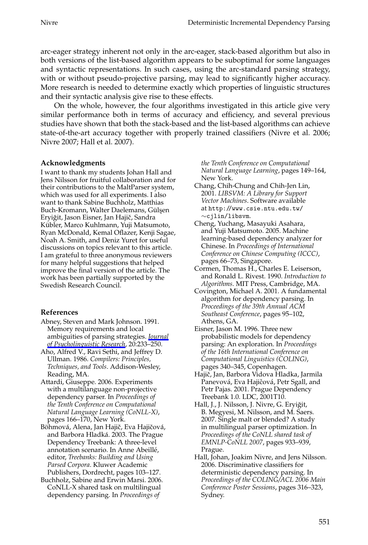arc-eager strategy inherent not only in the arc-eager, stack-based algorithm but also in both versions of the list-based algorithm appears to be suboptimal for some languages and syntactic representations. In such cases, using the arc-standard parsing strategy, with or without pseudo-projective parsing, may lead to significantly higher accuracy. More research is needed to determine exactly which properties of linguistic structures and their syntactic analysis give rise to these effects.

On the whole, however, the four algorithms investigated in this article give very similar performance both in terms of accuracy and efficiency, and several previous studies have shown that both the stack-based and the list-based algorithms can achieve state-of-the-art accuracy together with properly trained classifiers (Nivre et al. 2006; Nivre 2007; Hall et al. 2007).

#### **Acknowledgments**

I want to thank my students Johan Hall and Jens Nilsson for fruitful collaboration and for their contributions to the MaltParser system, which was used for all experiments. I also want to thank Sabine Buchholz, Matthias Buch-Kromann, Walter Daelemans, Gülşen Eryiğit, Jason Eisner, Jan Hajič, Sandra Kübler, Marco Kuhlmann, Yuji Matsumoto, Ryan McDonald, Kemal Oflazer, Kenji Sagae, Noah A. Smith, and Deniz Yuret for useful discussions on topics relevant to this article. I am grateful to three anonymous reviewers for many helpful suggestions that helped improve the final version of the article. The work has been partially supported by the Swedish Research Council.

#### **References**

- Abney, Steven and Mark Johnson. 1991. Memory requirements and local ambiguities of parsing strategies. *Journal of Psycholinguistic Research*, 20:233–250.
- Aho, Alfred V., Ravi Sethi, and Jeffrey D. Ullman. 1986. *Compilers: Principles, Techniques, and Tools*. Addison-Wesley, Reading, MA.
- Attardi, Giuseppe. 2006. Experiments with a multilanguage non-projective dependency parser. In *Proceedings of the Tenth Conference on Computational Natural Language Learning (CoNLL-X)*, pages 166–170, New York.
- Böhmová, Alena, Jan Hajič, Eva Hajičová, and Barbora Hladka. 2003. The Prague ´ Dependency Treebank: A three-level annotation scenario. In Anne Abeille,´ editor, *Treebanks: Building and Using Parsed Corpora*. Kluwer Academic Publishers, Dordrecht, pages 103–127.
- Buchholz, Sabine and Erwin Marsi. 2006. CoNLL-X shared task on multilingual dependency parsing. In *Proceedings of*

*the Tenth Conference on Computational Natural Language Learning*, pages 149–164, New York.

- Chang, Chih-Chung and Chih-Jen Lin, 2001. *LIBSVM: A Library for Support Vector Machines*. Software available at http://www.csie.ntu.edu.tw/ ∼cjlin/libsvm.
- Cheng, Yuchang, Masayuki Asahara, and Yuji Matsumoto. 2005. Machine learning-based dependency analyzer for Chinese. In *Proceedings of International Conference on Chinese Computing (ICCC)*, pages 66–73, Singapore.
- Cormen, Thomas H., Charles E. Leiserson, and Ronald L. Rivest. 1990. *Introduction to Algorithms*. MIT Press, Cambridge, MA.
- Covington, Michael A. 2001. A fundamental algorithm for dependency parsing. In *Proceedings of the 39th Annual ACM Southeast Conference*, pages 95–102, Athens, GA.
- Eisner, Jason M. 1996. Three new probabilistic models for dependency parsing: An exploration. In *Proceedings of the 16th International Conference on Computational Linguistics (COLING)*, pages 340–345, Copenhagen.
- Hajic, Jan, Barbora Vidova Hladka, Jarmila ˇ Panevová, Eva Hajičová, Petr Sgall, and Petr Pajas. 2001. Prague Dependency Treebank 1.0. LDC, 2001T10.
- Hall, J., J. Nilsson, J. Nivre, G. Eryiğit, B. Megyesi, M. Nilsson, and M. Saers. 2007. Single malt or blended? A study in multilingual parser optimization. In *Proceedings of the CoNLL shared task of EMNLP-CoNLL 2007*, pages 933–939, Prague.
- Hall, Johan, Joakim Nivre, and Jens Nilsson. 2006. Discriminative classifiers for deterministic dependency parsing. In *Proceedings of the COLING/ACL 2006 Main Conference Poster Sessions*, pages 316–323, Sydney.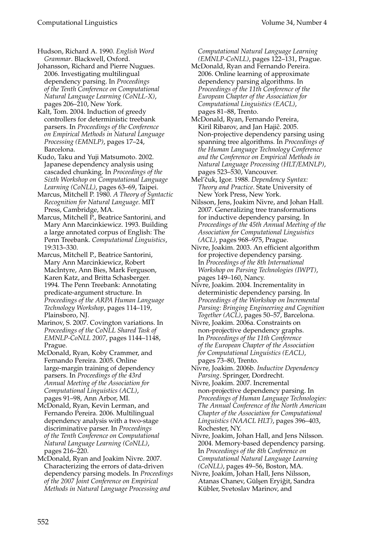Hudson, Richard A. 1990. *English Word Grammar*. Blackwell, Oxford.

Johansson, Richard and Pierre Nugues. 2006. Investigating multilingual dependency parsing. In *Proceedings of the Tenth Conference on Computational Natural Language Learning (CoNLL-X)*, pages 206–210, New York.

Kalt, Tom. 2004. Induction of greedy controllers for deterministic treebank parsers. In *Proceedings of the Conference on Empirical Methods in Natural Language Processing (EMNLP)*, pages 17–24, Barcelona.

Kudo, Taku and Yuji Matsumoto. 2002. Japanese dependency analysis using cascaded chunking. In *Proceedings of the Sixth Workshop on Computational Language Learning (CoNLL)*, pages 63–69, Taipei.

Marcus, Mitchell P. 1980. *A Theory of Syntactic Recognition for Natural Language*. MIT Press, Cambridge, MA.

Marcus, Mitchell P., Beatrice Santorini, and Mary Ann Marcinkiewicz. 1993. Building a large annotated corpus of English: The Penn Treebank. *Computational Linguistics*, 19:313–330.

Marcus, Mitchell P., Beatrice Santorini, Mary Ann Marcinkiewicz, Robert MacIntyre, Ann Bies, Mark Ferguson, Karen Katz, and Britta Schasberger. 1994. The Penn Treebank: Annotating predicate-argument structure. In *Proceedings of the ARPA Human Language Technology Workshop*, pages 114–119, Plainsboro, NJ.

Marinov, S. 2007. Covington variations. In *Proceedings of the CoNLL Shared Task of EMNLP-CoNLL 2007*, pages 1144–1148, Prague.

McDonald, Ryan, Koby Crammer, and Fernando Pereira. 2005. Online large-margin training of dependency parsers. In *Proceedings of the 43rd Annual Meeting of the Association for Computational Linguistics (ACL)*, pages 91–98, Ann Arbor, MI.

McDonald, Ryan, Kevin Lerman, and Fernando Pereira. 2006. Multilingual dependency analysis with a two-stage discriminative parser. In *Proceedings of the Tenth Conference on Computational Natural Language Learning (CoNLL)*, pages 216–220.

McDonald, Ryan and Joakim Nivre. 2007. Characterizing the errors of data-driven dependency parsing models. In *Proceedings of the 2007 Joint Conference on Empirical Methods in Natural Language Processing and*

*Computational Natural Language Learning (EMNLP-CoNLL)*, pages 122–131, Prague.

McDonald, Ryan and Fernando Pereira. 2006. Online learning of approximate dependency parsing algorithms. In *Proceedings of the 11th Conference of the European Chapter of the Association for Computational Linguistics (EACL)*, pages 81–88, Trento.

McDonald, Ryan, Fernando Pereira, Kiril Ribarov, and Jan Hajič. 2005. Non-projective dependency parsing using spanning tree algorithms. In *Proceedings of the Human Language Technology Conference and the Conference on Empirical Methods in Natural Language Processing (HLT/EMNLP)*, pages 523–530, Vancouver.

Mel'čuk, Igor. 1988. Dependency Syntax: *Theory and Practice*. State University of New York Press, New York.

Nilsson, Jens, Joakim Nivre, and Johan Hall. 2007. Generalizing tree transformations for inductive dependency parsing. In *Proceedings of the 45th Annual Meeting of the Association for Computational Linguistics (ACL)*, pages 968–975, Prague.

Nivre, Joakim. 2003. An efficient algorithm for projective dependency parsing. In *Proceedings of the 8th International Workshop on Parsing Technologies (IWPT)*, pages 149–160, Nancy.

Nivre, Joakim. 2004. Incrementality in deterministic dependency parsing. In *Proceedings of the Workshop on Incremental Parsing: Bringing Engineering and Cognition Together (ACL)*, pages 50–57, Barcelona.

Nivre, Joakim. 2006a. Constraints on non-projective dependency graphs. In *Proceedings of the 11th Conference of the European Chapter of the Association for Computational Linguistics (EACL)*, pages 73–80, Trento.

Nivre, Joakim. 2006b. *Inductive Dependency Parsing*. Springer, Dordrecht.

Nivre, Joakim. 2007. Incremental non-projective dependency parsing. In *Proceedings of Human Language Technologies: The Annual Conference of the North American Chapter of the Association for Computational Linguistics (NAACL HLT)*, pages 396–403, Rochester, NY.

Nivre, Joakim, Johan Hall, and Jens Nilsson. 2004. Memory-based dependency parsing. In *Proceedings of the 8th Conference on Computational Natural Language Learning (CoNLL)*, pages 49–56, Boston, MA.

Nivre, Joakim, Johan Hall, Jens Nilsson, Atanas Chanev, Gülşen Eryiğit, Sandra Kübler, Svetoslav Marinov, and